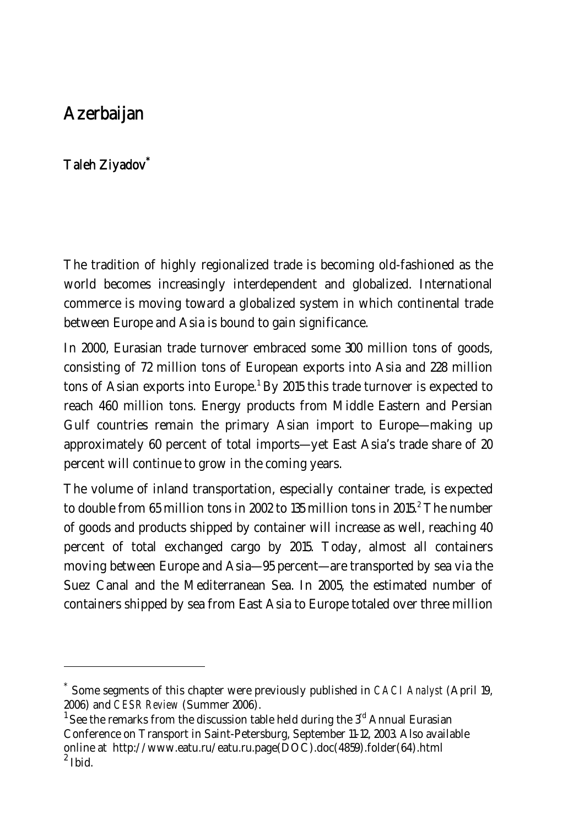## Azerbaijan

#### Taleh Ziyadov\*

 $\overline{a}$ 

The tradition of highly regionalized trade is becoming old-fashioned as the world becomes increasingly interdependent and globalized. International commerce is moving toward a globalized system in which continental trade between Europe and Asia is bound to gain significance.

In 2000, Eurasian trade turnover embraced some 300 million tons of goods, consisting of 72 million tons of European exports into Asia and 228 million tons of Asian exports into Europe.<sup>1</sup> By 2015 this trade turnover is expected to reach 460 million tons. Energy products from Middle Eastern and Persian Gulf countries remain the primary Asian import to Europe—making up approximately 60 percent of total imports—yet East Asia's trade share of 20 percent will continue to grow in the coming years.

The volume of inland transportation, especially container trade, is expected to double from 65 million tons in 2002 to 135 million tons in 2015. $^2$  The number of goods and products shipped by container will increase as well, reaching 40 percent of total exchanged cargo by 2015. Today, almost all containers moving between Europe and Asia—95 percent—are transported by sea via the Suez Canal and the Mediterranean Sea. In 2005, the estimated number of containers shipped by sea from East Asia to Europe totaled over three million

<sup>\*</sup> Some segments of this chapter were previously published in *CACI Analyst* (April 19, 2006) and *CESR Review* (Summer 2006).

 $^1$  See the remarks from the discussion table held during the  $3^{\rm rd}$  Annual Eurasian Conference on Transport in Saint-Petersburg, September 11-12, 2003. Also available online at http://www.eatu.ru/eatu.ru.page(DOC).doc(4859).folder(64).html  $<sup>2</sup>$  Ibid.</sup>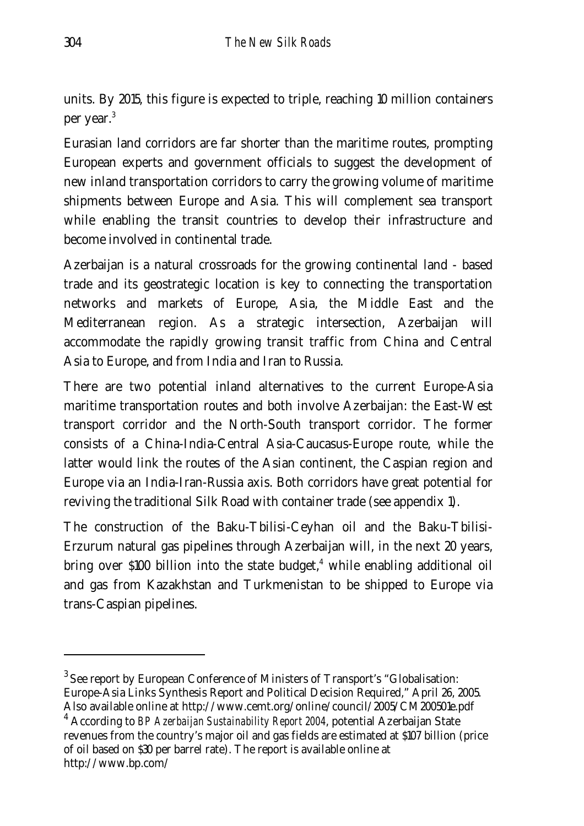units. By 2015, this figure is expected to triple, reaching 10 million containers per year.3

Eurasian land corridors are far shorter than the maritime routes, prompting European experts and government officials to suggest the development of new inland transportation corridors to carry the growing volume of maritime shipments between Europe and Asia. This will complement sea transport while enabling the transit countries to develop their infrastructure and become involved in continental trade.

Azerbaijan is a natural crossroads for the growing continental land - based trade and its geostrategic location is key to connecting the transportation networks and markets of Europe, Asia, the Middle East and the Mediterranean region. As a strategic intersection, Azerbaijan will accommodate the rapidly growing transit traffic from China and Central Asia to Europe, and from India and Iran to Russia.

There are two potential inland alternatives to the current Europe-Asia maritime transportation routes and both involve Azerbaijan: the East-West transport corridor and the North-South transport corridor. The former consists of a China-India-Central Asia-Caucasus-Europe route, while the latter would link the routes of the Asian continent, the Caspian region and Europe via an India-Iran-Russia axis. Both corridors have great potential for reviving the traditional Silk Road with container trade (see appendix 1).

The construction of the Baku-Tbilisi-Ceyhan oil and the Baku-Tbilisi-Erzurum natural gas pipelines through Azerbaijan will, in the next 20 years, bring over \$100 billion into the state budget,<sup>4</sup> while enabling additional oil and gas from Kazakhstan and Turkmenistan to be shipped to Europe via trans-Caspian pipelines.

 According to *BP Azerbaijan Sustainability Report 2004*, potential Azerbaijan State revenues from the country's major oil and gas fields are estimated at \$107 billion (price of oil based on \$30 per barrel rate). The report is available online at http://www.bp.com/

 $^3$  See report by European Conference of Ministers of Transport's "Globalisation: Europe-Asia Links Synthesis Report and Political Decision Required," April 26, 2005. Also available online at http://www.cemt.org/online/council/2005/CM200501e.pdf 4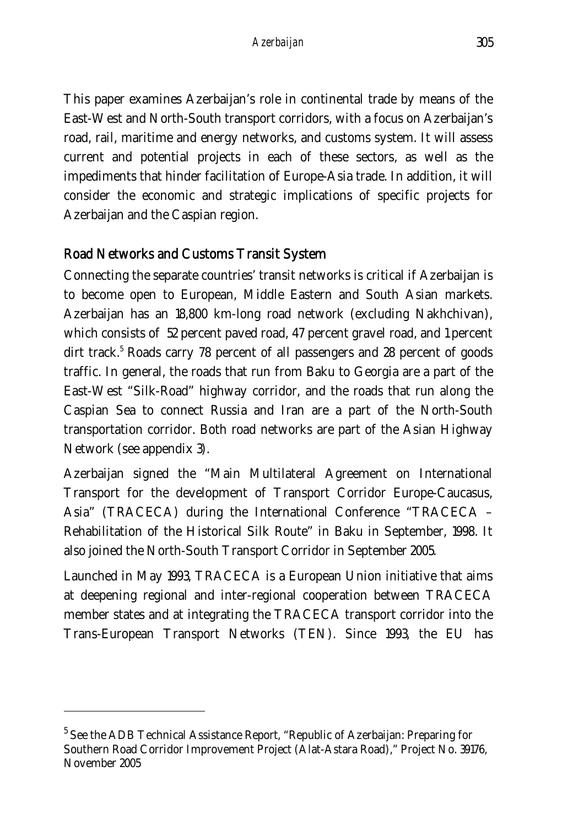This paper examines Azerbaijan's role in continental trade by means of the East-West and North-South transport corridors, with a focus on Azerbaijan's road, rail, maritime and energy networks, and customs system. It will assess current and potential projects in each of these sectors, as well as the impediments that hinder facilitation of Europe-Asia trade. In addition, it will consider the economic and strategic implications of specific projects for Azerbaijan and the Caspian region.

### Road Networks and Customs Transit System

Connecting the separate countries' transit networks is critical if Azerbaijan is to become open to European, Middle Eastern and South Asian markets. Azerbaijan has an 18,800 km-long road network (excluding Nakhchivan), which consists of 52 percent paved road, 47 percent gravel road, and 1 percent dirt track.<sup>5</sup> Roads carry 78 percent of all passengers and 28 percent of goods traffic. In general, the roads that run from Baku to Georgia are a part of the East-West "Silk-Road" highway corridor, and the roads that run along the Caspian Sea to connect Russia and Iran are a part of the North-South transportation corridor. Both road networks are part of the Asian Highway Network (see appendix 3).

Azerbaijan signed the "Main Multilateral Agreement on International Transport for the development of Transport Corridor Europe-Caucasus, Asia" (TRACECA) during the International Conference "TRACECA – Rehabilitation of the Historical Silk Route" in Baku in September, 1998. It also joined the North-South Transport Corridor in September 2005.

Launched in May 1993, TRACECA is a European Union initiative that aims at deepening regional and inter-regional cooperation between TRACECA member states and at integrating the TRACECA transport corridor into the Trans-European Transport Networks (TEN). Since 1993, the EU has

<sup>&</sup>lt;sup>5</sup> See the ADB Technical Assistance Report, "Republic of Azerbaijan: Preparing for Southern Road Corridor Improvement Project (Alat-Astara Road)," Project No. 39176, November 2005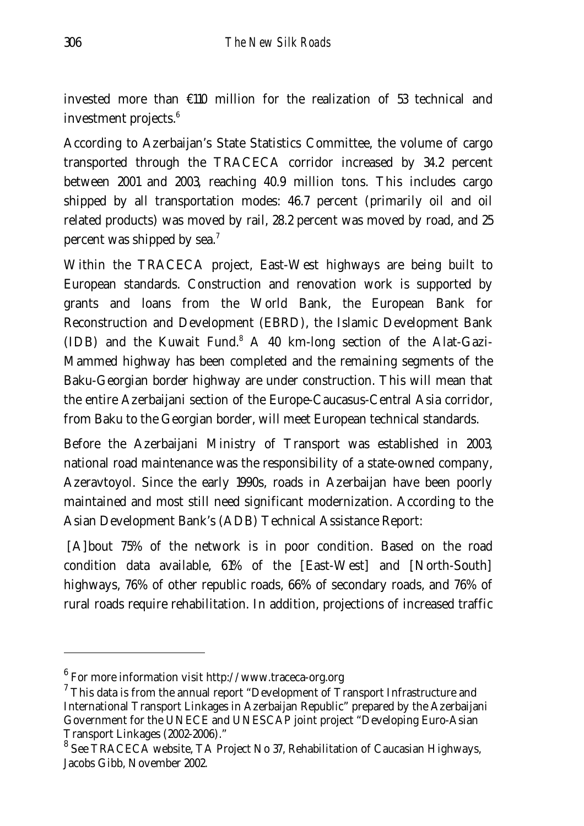invested more than €110 million for the realization of 53 technical and investment projects. $^6\,$ 

According to Azerbaijan's State Statistics Committee, the volume of cargo transported through the TRACECA corridor increased by 34.2 percent between 2001 and 2003, reaching 40.9 million tons. This includes cargo shipped by all transportation modes: 46.7 percent (primarily oil and oil related products) was moved by rail, 28.2 percent was moved by road, and 25 percent was shipped by sea.<sup>7</sup>

Within the TRACECA project, East-West highways are being built to European standards. Construction and renovation work is supported by grants and loans from the World Bank, the European Bank for Reconstruction and Development (EBRD), the Islamic Development Bank (IDB) and the Kuwait Fund.<sup>8</sup> A 40 km-long section of the Alat-Gazi-Mammed highway has been completed and the remaining segments of the Baku-Georgian border highway are under construction. This will mean that the entire Azerbaijani section of the Europe-Caucasus-Central Asia corridor, from Baku to the Georgian border, will meet European technical standards.

Before the Azerbaijani Ministry of Transport was established in 2003, national road maintenance was the responsibility of a state-owned company, Azeravtoyol. Since the early 1990s, roads in Azerbaijan have been poorly maintained and most still need significant modernization. According to the Asian Development Bank's (ADB) Technical Assistance Report:

 [A]bout 75% of the network is in poor condition. Based on the road condition data available, 61% of the [East-West] and [North-South] highways, 76% of other republic roads, 66% of secondary roads, and 76% of rural roads require rehabilitation. In addition, projections of increased traffic

 $^6$  For more information visit http://www.traceca-org.org

 $^7$  This data is from the annual report "Development of Transport Infrastructure and International Transport Linkages in Azerbaijan Republic" prepared by the Azerbaijani Government for the UNECE and UNESCAP joint project "Developing Euro-Asian Transport Linkages (2002-2006)."

<sup>&</sup>lt;sup>8</sup> See TRACECA website, TA Project No 37, Rehabilitation of Caucasian Highways, Jacobs Gibb, November 2002.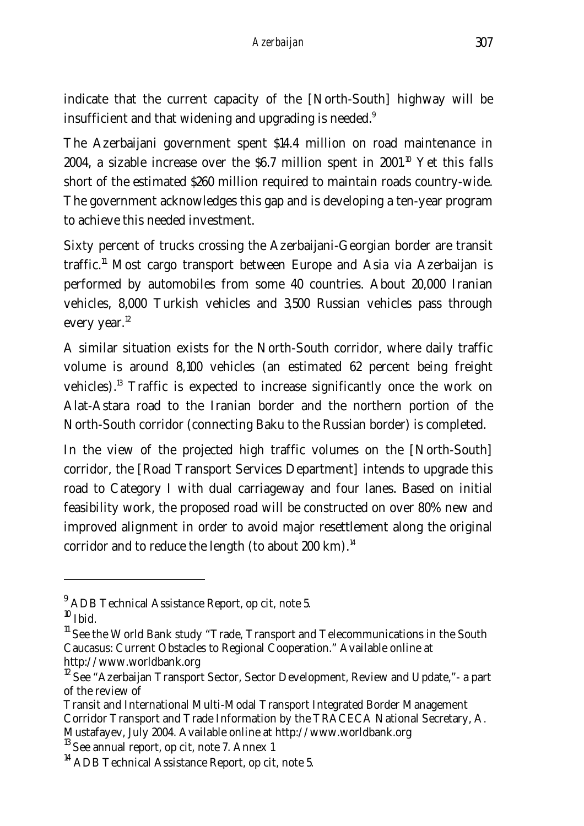indicate that the current capacity of the [North-South] highway will be insufficient and that widening and upgrading is needed. $^9$ 

The Azerbaijani government spent \$14.4 million on road maintenance in 2004, a sizable increase over the  $$6.7$  million spent in 2001.<sup>10</sup> Yet this falls short of the estimated \$260 million required to maintain roads country-wide. The government acknowledges this gap and is developing a ten-year program to achieve this needed investment.

Sixty percent of trucks crossing the Azerbaijani-Georgian border are transit traffic.<sup>11</sup> Most cargo transport between Europe and Asia via Azerbaijan is performed by automobiles from some 40 countries. About 20,000 Iranian vehicles, 8,000 Turkish vehicles and 3,500 Russian vehicles pass through every year.<sup>12</sup>

A similar situation exists for the North-South corridor, where daily traffic volume is around 8,100 vehicles (an estimated 62 percent being freight vehicles).13 Traffic is expected to increase significantly once the work on Alat-Astara road to the Iranian border and the northern portion of the North-South corridor (connecting Baku to the Russian border) is completed.

In the view of the projected high traffic volumes on the [North-South] corridor, the [Road Transport Services Department] intends to upgrade this road to Category I with dual carriageway and four lanes. Based on initial feasibility work, the proposed road will be constructed on over 80% new and improved alignment in order to avoid major resettlement along the original corridor and to reduce the length (to about 200 km).<sup>14</sup>

 $^{9}$  ADB Technical Assistance Report, op cit, note 5.

 $10$  Ibid.

<sup>&</sup>lt;sup>11</sup> See the World Bank study "Trade, Transport and Telecommunications in the South Caucasus: Current Obstacles to Regional Cooperation." Available online at http://www.worldbank.org

<sup>&</sup>lt;sup>12</sup> See "Azerbaijan Transport Sector, Sector Development, Review and Update," - a part of the review of

Transit and International Multi-Modal Transport Integrated Border Management Corridor Transport and Trade Information by the TRACECA National Secretary, A. Mustafayev, July 2004. Available online at http://www.worldbank.org 13 See annual report, op cit, note 7. Annex 1

<sup>14</sup> ADB Technical Assistance Report, op cit, note 5.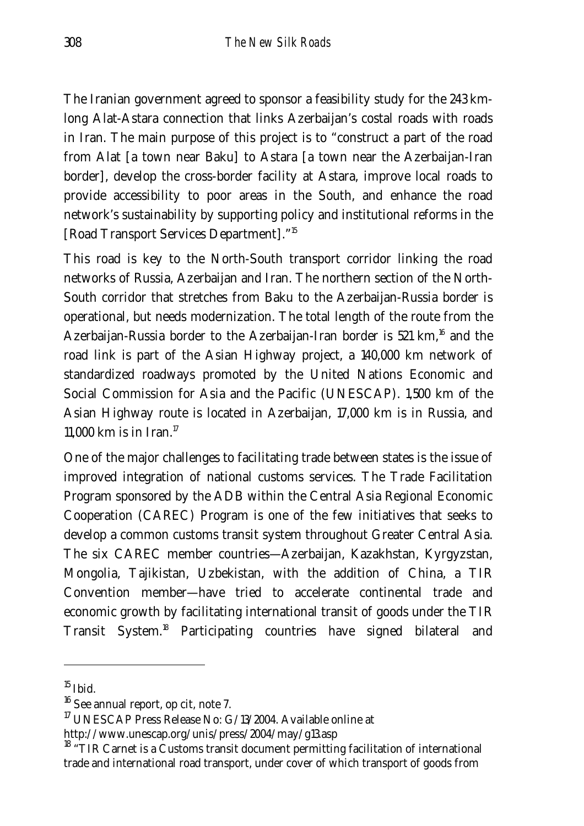The Iranian government agreed to sponsor a feasibility study for the 243 kmlong Alat-Astara connection that links Azerbaijan's costal roads with roads in Iran. The main purpose of this project is to "construct a part of the road from Alat [a town near Baku] to Astara [a town near the Azerbaijan-Iran border], develop the cross-border facility at Astara, improve local roads to provide accessibility to poor areas in the South, and enhance the road network's sustainability by supporting policy and institutional reforms in the [Road Transport Services Department]."15

This road is key to the North-South transport corridor linking the road networks of Russia, Azerbaijan and Iran. The northern section of the North-South corridor that stretches from Baku to the Azerbaijan-Russia border is operational, but needs modernization. The total length of the route from the Azerbaijan-Russia border to the Azerbaijan-Iran border is 521 km,<sup>16</sup> and the road link is part of the Asian Highway project, a 140,000 km network of standardized roadways promoted by the United Nations Economic and Social Commission for Asia and the Pacific (UNESCAP). 1,500 km of the Asian Highway route is located in Azerbaijan, 17,000 km is in Russia, and 11,000 km is in Iran.<sup>17</sup>

One of the major challenges to facilitating trade between states is the issue of improved integration of national customs services. The Trade Facilitation Program sponsored by the ADB within the Central Asia Regional Economic Cooperation (CAREC) Program is one of the few initiatives that seeks to develop a common customs transit system throughout Greater Central Asia. The six CAREC member countries—Azerbaijan, Kazakhstan, Kyrgyzstan, Mongolia, Tajikistan, Uzbekistan, with the addition of China, a TIR Convention member—have tried to accelerate continental trade and economic growth by facilitating international transit of goods under the TIR Transit System.18 Participating countries have signed bilateral and

 $15$  Ibid.

 $16$  See annual report, op cit, note 7.

<sup>17</sup> UNESCAP Press Release No: G/13/2004. Available online at

http://www.unescap.org/unis/press/2004/may/g13.asp<br><sup>18</sup> "TIR Carnet is a Customs transit document permitting facilitation of international trade and international road transport, under cover of which transport of goods from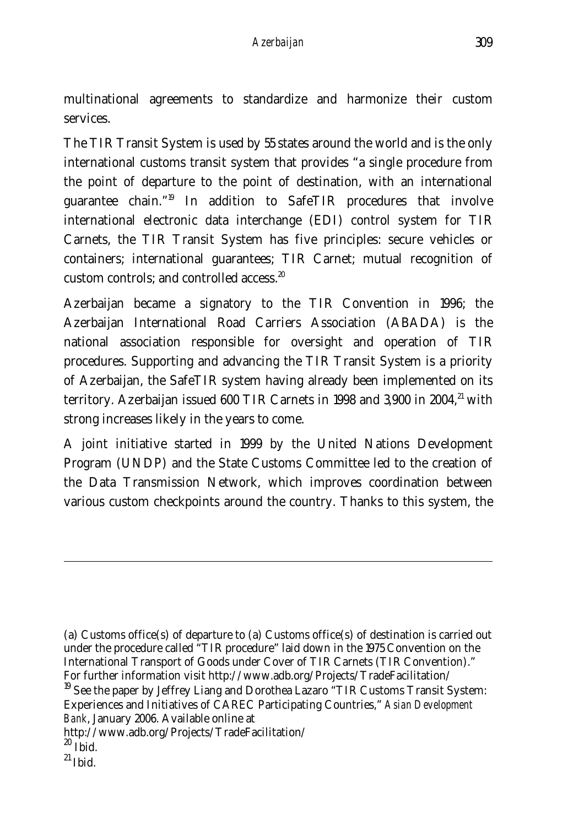multinational agreements to standardize and harmonize their custom services.

The TIR Transit System is used by 55 states around the world and is the only international customs transit system that provides "a single procedure from the point of departure to the point of destination, with an international guarantee chain."19 In addition to SafeTIR procedures that involve international electronic data interchange (EDI) control system for TIR Carnets, the TIR Transit System has five principles: secure vehicles or containers; international guarantees; TIR Carnet; mutual recognition of custom controls; and controlled access.<sup>20</sup>

Azerbaijan became a signatory to the TIR Convention in 1996; the Azerbaijan International Road Carriers Association (ABADA) is the national association responsible for oversight and operation of TIR procedures. Supporting and advancing the TIR Transit System is a priority of Azerbaijan, the SafeTIR system having already been implemented on its territory. Azerbaijan issued  $600$  TIR Carnets in 1998 and 3,900 in 2004, $21$  with strong increases likely in the years to come.

A joint initiative started in 1999 by the United Nations Development Program (UNDP) and the State Customs Committee led to the creation of the Data Transmission Network, which improves coordination between various custom checkpoints around the country. Thanks to this system, the

(a) Customs office(s) of departure to (a) Customs office(s) of destination is carried out under the procedure called "TIR procedure" laid down in the 1975 Convention on the International Transport of Goods under Cover of TIR Carnets (TIR Convention)." For further information visit http://www.adb.org/Projects/TradeFacilitation/<br><sup>19</sup> See the paper by Jeffrey Liang and Dorothea Lazaro "TIR Customs Transit System: Experiences and Initiatives of CAREC Participating Countries," *Asian Development* 

*Bank*, January 2006. Available online at

http://www.adb.org/Projects/TradeFacilitation/

 $20$  Ibid.

 $^{21}$  Ibid.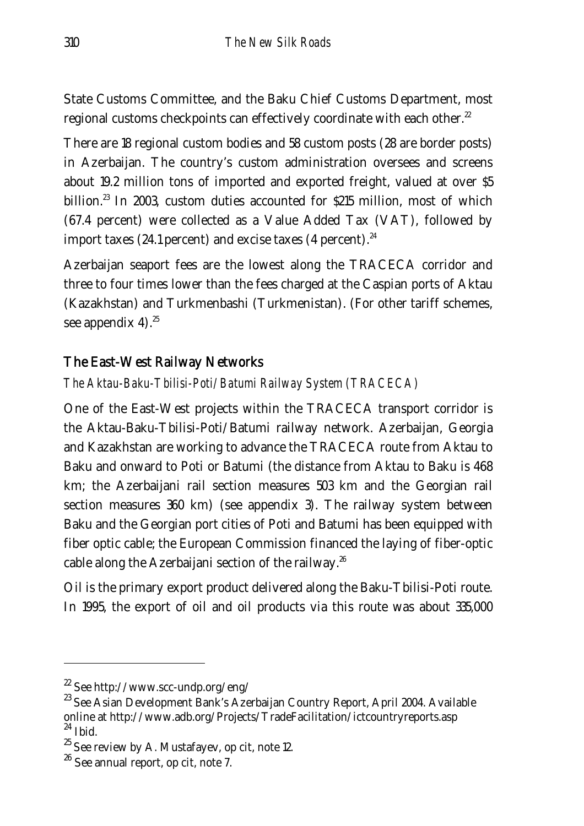State Customs Committee, and the Baku Chief Customs Department, most regional customs checkpoints can effectively coordinate with each other.<sup>22</sup>

There are 18 regional custom bodies and 58 custom posts (28 are border posts) in Azerbaijan. The country's custom administration oversees and screens about 19.2 million tons of imported and exported freight, valued at over \$5 billion.<sup>23</sup> In 2003, custom duties accounted for \$215 million, most of which (67.4 percent) were collected as a Value Added Tax (VAT), followed by import taxes (24.1 percent) and excise taxes (4 percent). $^{24}$ 

Azerbaijan seaport fees are the lowest along the TRACECA corridor and three to four times lower than the fees charged at the Caspian ports of Aktau (Kazakhstan) and Turkmenbashi (Turkmenistan). (For other tariff schemes, see appendix 4). $^{25}$ 

### The East-West Railway Networks

#### *The Aktau-Baku-Tbilisi-Poti/Batumi Railway System (TRACECA)*

One of the East-West projects within the TRACECA transport corridor is the Aktau-Baku-Tbilisi-Poti/Batumi railway network. Azerbaijan, Georgia and Kazakhstan are working to advance the TRACECA route from Aktau to Baku and onward to Poti or Batumi (the distance from Aktau to Baku is 468 km; the Azerbaijani rail section measures 503 km and the Georgian rail section measures 360 km) (see appendix 3). The railway system between Baku and the Georgian port cities of Poti and Batumi has been equipped with fiber optic cable; the European Commission financed the laying of fiber-optic cable along the Azerbaijani section of the railway.<sup>26</sup>

Oil is the primary export product delivered along the Baku-Tbilisi-Poti route. In 1995, the export of oil and oil products via this route was about 335,000

 $^{22}$  See http://www.scc-undp.org/eng/

<sup>23</sup> See Asian Development Bank's Azerbaijan Country Report, April 2004. Available online at http://www.adb.org/Projects/TradeFacilitation/ictcountryreports.asp 24 Ibid.

 $25$  See review by A. Mustafayev, op cit, note 12.

 $26$  See annual report, op cit, note 7.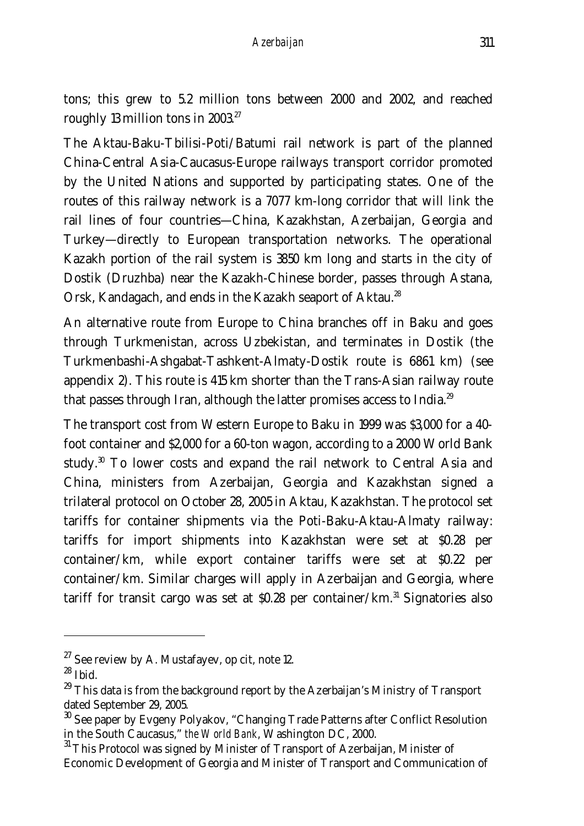tons; this grew to 5.2 million tons between 2000 and 2002, and reached roughly 13 million tons in 2003.<sup>27</sup>

The Aktau-Baku-Tbilisi-Poti/Batumi rail network is part of the planned China-Central Asia-Caucasus-Europe railways transport corridor promoted by the United Nations and supported by participating states. One of the routes of this railway network is a 7077 km-long corridor that will link the rail lines of four countries—China, Kazakhstan, Azerbaijan, Georgia and Turkey—directly to European transportation networks. The operational Kazakh portion of the rail system is 3850 km long and starts in the city of Dostik (Druzhba) near the Kazakh-Chinese border, passes through Astana, Orsk, Kandagach, and ends in the Kazakh seaport of Aktau.<sup>28</sup>

An alternative route from Europe to China branches off in Baku and goes through Turkmenistan, across Uzbekistan, and terminates in Dostik (the Turkmenbashi-Ashgabat-Tashkent-Almaty-Dostik route is 6861 km) (see appendix 2). This route is 415 km shorter than the Trans-Asian railway route that passes through Iran, although the latter promises access to India.<sup>29</sup>

The transport cost from Western Europe to Baku in 1999 was \$3,000 for a 40 foot container and \$2,000 for a 60-ton wagon, according to a 2000 World Bank study. $30^{\circ}$  To lower costs and expand the rail network to Central Asia and China, ministers from Azerbaijan, Georgia and Kazakhstan signed a trilateral protocol on October 28, 2005 in Aktau, Kazakhstan. The protocol set tariffs for container shipments via the Poti-Baku-Aktau-Almaty railway: tariffs for import shipments into Kazakhstan were set at \$0.28 per container/km, while export container tariffs were set at \$0.22 per container/km. Similar charges will apply in Azerbaijan and Georgia, where tariff for transit cargo was set at  $$0.28$  per container/km.<sup>31</sup> Signatories also

 $27$  See review by A. Mustafayev, op cit, note 12.

<sup>28</sup> Ibid.

<sup>&</sup>lt;sup>29</sup> This data is from the background report by the Azerbaijan's Ministry of Transport dated September 29, 2005.

<sup>30</sup> See paper by Evgeny Polyakov, "Changing Trade Patterns after Conflict Resolution in the South Caucasus," *the World Bank*, Washington DC, 2000. 31 This Protocol was signed by Minister of Transport of Azerbaijan, Minister of

Economic Development of Georgia and Minister of Transport and Communication of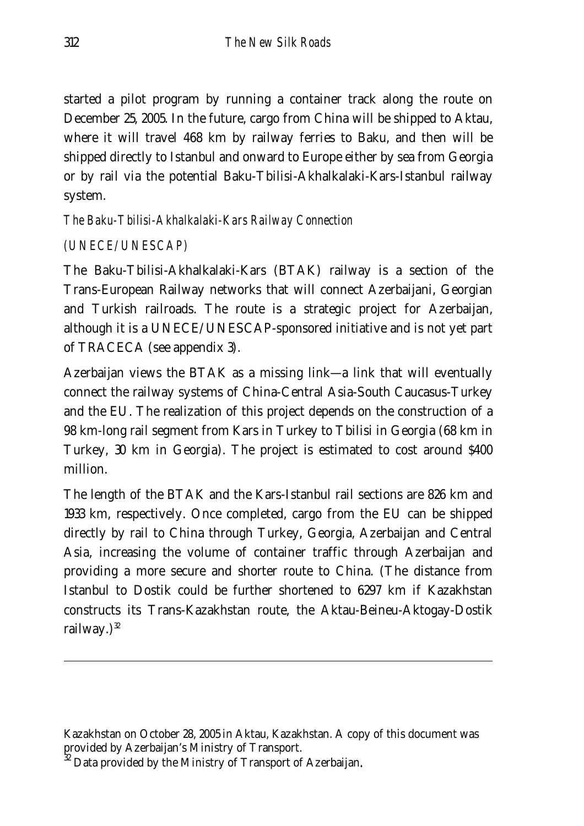started a pilot program by running a container track along the route on December 25, 2005. In the future, cargo from China will be shipped to Aktau, where it will travel 468 km by railway ferries to Baku, and then will be shipped directly to Istanbul and onward to Europe either by sea from Georgia or by rail via the potential Baku-Tbilisi-Akhalkalaki-Kars-Istanbul railway system.

## *The Baku-Tbilisi-Akhalkalaki-Kars Railway Connection*

### *(UNECE/UNESCAP)*

The Baku-Tbilisi-Akhalkalaki-Kars (BTAK) railway is a section of the Trans-European Railway networks that will connect Azerbaijani, Georgian and Turkish railroads. The route is a strategic project for Azerbaijan, although it is a UNECE/UNESCAP-sponsored initiative and is not yet part of TRACECA (see appendix 3).

Azerbaijan views the BTAK as a missing link—a link that will eventually connect the railway systems of China-Central Asia-South Caucasus-Turkey and the EU. The realization of this project depends on the construction of a 98 km-long rail segment from Kars in Turkey to Tbilisi in Georgia (68 km in Turkey, 30 km in Georgia). The project is estimated to cost around \$400 million.

The length of the BTAK and the Kars-Istanbul rail sections are 826 km and 1933 km, respectively. Once completed, cargo from the EU can be shipped directly by rail to China through Turkey, Georgia, Azerbaijan and Central Asia, increasing the volume of container traffic through Azerbaijan and providing a more secure and shorter route to China. (The distance from Istanbul to Dostik could be further shortened to 6297 km if Kazakhstan constructs its Trans-Kazakhstan route, the Aktau-Beineu-Aktogay-Dostik railway.) $32$ 

Kazakhstan on October 28, 2005 in Aktau, Kazakhstan. A copy of this document was provided by Azerbaijan's Ministry of Transport.

<sup>&</sup>lt;sup>32</sup> Data provided by the Ministry of Transport of Azerbaijan.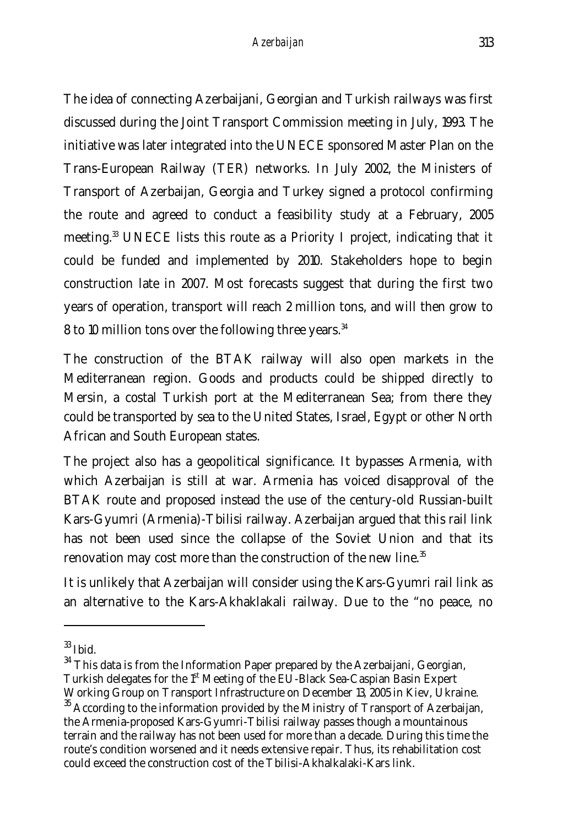The idea of connecting Azerbaijani, Georgian and Turkish railways was first discussed during the Joint Transport Commission meeting in July, 1993. The initiative was later integrated into the UNECE sponsored Master Plan on the Trans-European Railway (TER) networks. In July 2002, the Ministers of Transport of Azerbaijan, Georgia and Turkey signed a protocol confirming the route and agreed to conduct a feasibility study at a February, 2005 meeting.<sup>33</sup> UNECE lists this route as a Priority I project, indicating that it could be funded and implemented by 2010. Stakeholders hope to begin construction late in 2007. Most forecasts suggest that during the first two years of operation, transport will reach 2 million tons, and will then grow to 8 to 10 million tons over the following three years.<sup>34</sup>

The construction of the BTAK railway will also open markets in the Mediterranean region. Goods and products could be shipped directly to Mersin, a costal Turkish port at the Mediterranean Sea; from there they could be transported by sea to the United States, Israel, Egypt or other North African and South European states.

The project also has a geopolitical significance. It bypasses Armenia, with which Azerbaijan is still at war. Armenia has voiced disapproval of the BTAK route and proposed instead the use of the century-old Russian-built Kars-Gyumri (Armenia)-Tbilisi railway. Azerbaijan argued that this rail link has not been used since the collapse of the Soviet Union and that its renovation may cost more than the construction of the new line.<sup>35</sup>

It is unlikely that Azerbaijan will consider using the Kars-Gyumri rail link as an alternative to the Kars-Akhaklakali railway. Due to the "no peace, no

 $33$  Ibid.

 $^{34}$  This data is from the Information Paper prepared by the Azerbaijani, Georgian, Turkish delegates for the 1<sup>st</sup> Meeting of the EU-Black Sea-Caspian Basin Expert Working Group on Transport Infrastructure on December 13, 2005 in Kiev, Ukraine. <sup>35</sup> According to the information provided by the Ministry of Transport of Azerbaijan, the Armenia-proposed Kars-Gyumri-Tbilisi railway passes though a mountainous terrain and the railway has not been used for more than a decade. During this time the route's condition worsened and it needs extensive repair. Thus, its rehabilitation cost could exceed the construction cost of the Tbilisi-Akhalkalaki-Kars link.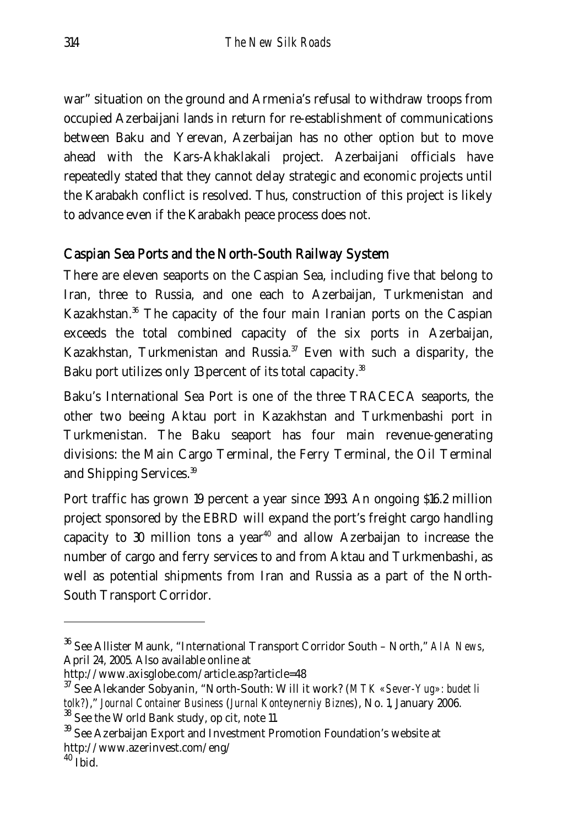war" situation on the ground and Armenia's refusal to withdraw troops from occupied Azerbaijani lands in return for re-establishment of communications between Baku and Yerevan, Azerbaijan has no other option but to move ahead with the Kars-Akhaklakali project. Azerbaijani officials have repeatedly stated that they cannot delay strategic and economic projects until the Karabakh conflict is resolved. Thus, construction of this project is likely to advance even if the Karabakh peace process does not.

### Caspian Sea Ports and the North-South Railway System

There are eleven seaports on the Caspian Sea, including five that belong to Iran, three to Russia, and one each to Azerbaijan, Turkmenistan and Kazakhstan.<sup>36</sup> The capacity of the four main Iranian ports on the Caspian exceeds the total combined capacity of the six ports in Azerbaijan, Kazakhstan, Turkmenistan and Russia.<sup>37</sup> Even with such a disparity, the Baku port utilizes only 13 percent of its total capacity.<sup>38</sup>

Baku's International Sea Port is one of the three TRACECA seaports, the other two beeing Aktau port in Kazakhstan and Turkmenbashi port in Turkmenistan. The Baku seaport has four main revenue-generating divisions: the Main Cargo Terminal, the Ferry Terminal, the Oil Terminal and Shipping Services.<sup>39</sup>

Port traffic has grown 19 percent a year since 1993. An ongoing \$16.2 million project sponsored by the EBRD will expand the port's freight cargo handling capacity to 30 million tons a year<sup>40</sup> and allow Azerbaijan to increase the number of cargo and ferry services to and from Aktau and Turkmenbashi, as well as potential shipments from Iran and Russia as a part of the North-South Transport Corridor.

<sup>36</sup> See Allister Maunk, "International Transport Corridor South – North," *AIA News*, April 24, 2005. Also available online at<br>http://www.axisglobe.com/article.asp?article=48

<sup>&</sup>lt;sup>37</sup> See Alekander Sobyanin, "North-South: Will it work? (*MTK «Sever-Yug»: budet li tolk?*)," *Journal Container Business* (*Jurnal Konteynerniy Biznes*), No. 1, January 2006. 38 See the World Bank study, op cit, note 11.

<sup>&</sup>lt;sup>39</sup> See Azerbaijan Export and Investment Promotion Foundation's website at http://www.azerinvest.com/eng/

 $40$  Ibid.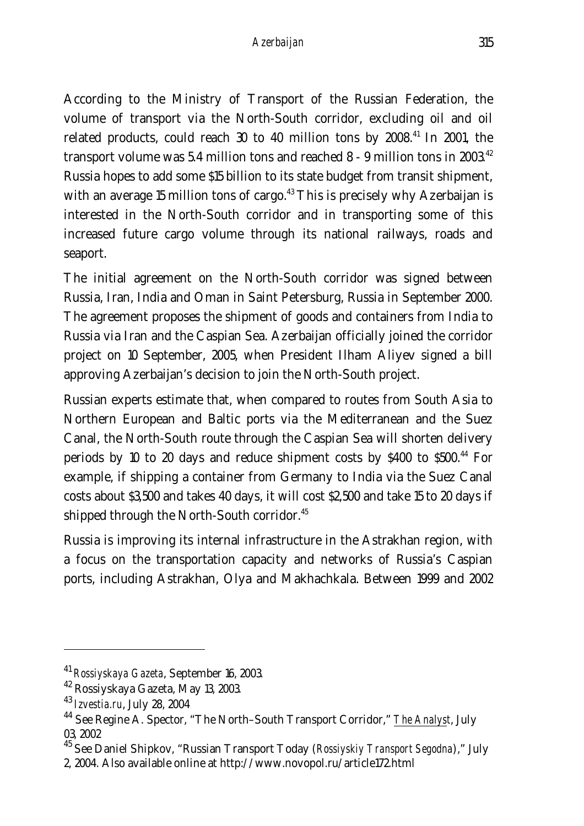According to the Ministry of Transport of the Russian Federation, the volume of transport via the North-South corridor, excluding oil and oil related products, could reach 30 to 40 million tons by 2008.<sup>41</sup> In 2001, the transport volume was 5.4 million tons and reached 8 - 9 million tons in 2003.<sup>42</sup> Russia hopes to add some \$15 billion to its state budget from transit shipment, with an average 15 million tons of cargo.<sup>43</sup> This is precisely why Azerbaijan is interested in the North-South corridor and in transporting some of this increased future cargo volume through its national railways, roads and seaport.

The initial agreement on the North-South corridor was signed between Russia, Iran, India and Oman in Saint Petersburg, Russia in September 2000. The agreement proposes the shipment of goods and containers from India to Russia via Iran and the Caspian Sea. Azerbaijan officially joined the corridor project on 10 September, 2005, when President Ilham Aliyev signed a bill approving Azerbaijan's decision to join the North-South project.

Russian experts estimate that, when compared to routes from South Asia to Northern European and Baltic ports via the Mediterranean and the Suez Canal, the North-South route through the Caspian Sea will shorten delivery periods by 10 to 20 days and reduce shipment costs by \$400 to \$500.44 For example, if shipping a container from Germany to India via the Suez Canal costs about \$3,500 and takes 40 days, it will cost \$2,500 and take 15 to 20 days if shipped through the North-South corridor.<sup>45</sup>

Russia is improving its internal infrastructure in the Astrakhan region, with a focus on the transportation capacity and networks of Russia's Caspian ports, including Astrakhan, Olya and Makhachkala. Between 1999 and 2002

<sup>41</sup> *Rossiyskaya Gazeta*, September 16, 2003.

<sup>42</sup> Rossiyskaya Gazeta, May 13, 2003.

<sup>43</sup> *Izvestia.ru*, July 28, 2004

<sup>44</sup> See Regine A. Spector, "The North–South Transport Corridor," *The Analyst*, July 03, 2002

<sup>45</sup> See Daniel Shipkov, "Russian Transport Today (*Rossiyskiy Transport Segodna*)," July

<sup>2, 2004.</sup> Also available online at http://www.novopol.ru/article172.html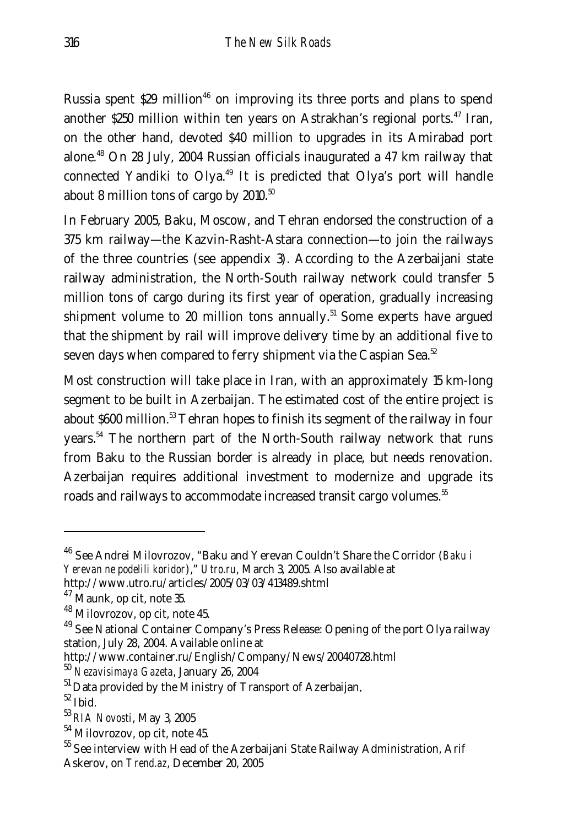Russia spent  $$29$  million<sup>46</sup> on improving its three ports and plans to spend another \$250 million within ten years on Astrakhan's regional ports.<sup>47</sup> Iran, on the other hand, devoted \$40 million to upgrades in its Amirabad port alone.48 On 28 July, 2004 Russian officials inaugurated a 47 km railway that connected Yandiki to Olya.49 It is predicted that Olya's port will handle about 8 million tons of cargo by  $2010$ .<sup>50</sup>

In February 2005, Baku, Moscow, and Tehran endorsed the construction of a 375 km railway—the Kazvin-Rasht-Astara connection—to join the railways of the three countries (see appendix 3). According to the Azerbaijani state railway administration, the North-South railway network could transfer 5 million tons of cargo during its first year of operation, gradually increasing shipment volume to 20 million tons annually.<sup>51</sup> Some experts have argued that the shipment by rail will improve delivery time by an additional five to seven days when compared to ferry shipment via the Caspian Sea.<sup>52</sup>

Most construction will take place in Iran, with an approximately 15 km-long segment to be built in Azerbaijan. The estimated cost of the entire project is about \$600 million.<sup>53</sup> Tehran hopes to finish its segment of the railway in four years.<sup>54</sup> The northern part of the North-South railway network that runs from Baku to the Russian border is already in place, but needs renovation. Azerbaijan requires additional investment to modernize and upgrade its roads and railways to accommodate increased transit cargo volumes.<sup>55</sup>

http://www.utro.ru/articles/2005/03/03/413489.shtml

<sup>50</sup> *Nezavisimaya Gazeta*, January 26, 2004

<sup>46</sup> See Andrei Milovrozov, "Baku and Yerevan Couldn't Share the Corridor (*Baku i Yerevan ne podelili koridor*)," *Utro.ru*, March 3, 2005. Also available at

<sup>47</sup> Maunk, op cit, note 35.

<sup>48</sup> Milovrozov, op cit, note 45.

<sup>49</sup> See National Container Company's Press Release: Opening of the port Olya railway station, July 28, 2004. Available online at

http://www.container.ru/English/Company/News/20040728.html

 $^{\rm 51}$  Data provided by the Ministry of Transport of Azerbaijan.  $^{\rm 52}$  Ibid.

<sup>53</sup> *RIA Novosti*, May 3, 2005

<sup>54</sup> Milovrozov, op cit, note 45.

<sup>&</sup>lt;sup>55</sup> See interview with Head of the Azerbaijani State Railway Administration, Arif Askerov, on *Trend.az*, December 20, 2005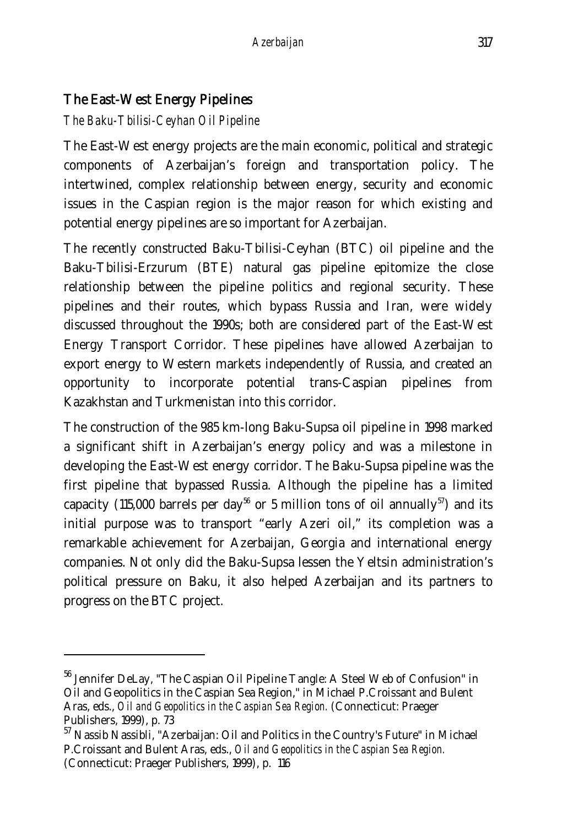#### The East-West Energy Pipelines

#### *The Baku-Tbilisi-Ceyhan Oil Pipeline*

 $\overline{a}$ 

The East-West energy projects are the main economic, political and strategic components of Azerbaijan's foreign and transportation policy. The intertwined, complex relationship between energy, security and economic issues in the Caspian region is the major reason for which existing and potential energy pipelines are so important for Azerbaijan.

The recently constructed Baku-Tbilisi-Ceyhan (BTC) oil pipeline and the Baku-Tbilisi-Erzurum (BTE) natural gas pipeline epitomize the close relationship between the pipeline politics and regional security. These pipelines and their routes, which bypass Russia and Iran, were widely discussed throughout the 1990s; both are considered part of the East-West Energy Transport Corridor. These pipelines have allowed Azerbaijan to export energy to Western markets independently of Russia, and created an opportunity to incorporate potential trans-Caspian pipelines from Kazakhstan and Turkmenistan into this corridor.

The construction of the 985 km-long Baku-Supsa oil pipeline in 1998 marked a significant shift in Azerbaijan's energy policy and was a milestone in developing the East-West energy corridor. The Baku-Supsa pipeline was the first pipeline that bypassed Russia. Although the pipeline has a limited capacity (115,000 barrels per day<sup>56</sup> or 5 million tons of oil annually<sup>57</sup>) and its initial purpose was to transport "early Azeri oil," its completion was a remarkable achievement for Azerbaijan, Georgia and international energy companies. Not only did the Baku-Supsa lessen the Yeltsin administration's political pressure on Baku, it also helped Azerbaijan and its partners to progress on the BTC project.

<sup>56</sup> Jennifer DeLay, "The Caspian Oil Pipeline Tangle: A Steel Web of Confusion" in Oil and Geopolitics in the Caspian Sea Region," in Michael P.Croissant and Bulent Aras, eds., *Oil and Geopolitics in the Caspian Sea Region.* (Connecticut: Praeger Publishers, 1999), p. 73

<sup>57</sup> Nassib Nassibli, "Azerbaijan: Oil and Politics in the Country's Future" in Michael P.Croissant and Bulent Aras, eds., *Oil and Geopolitics in the Caspian Sea Region.* (Connecticut: Praeger Publishers, 1999), p. 116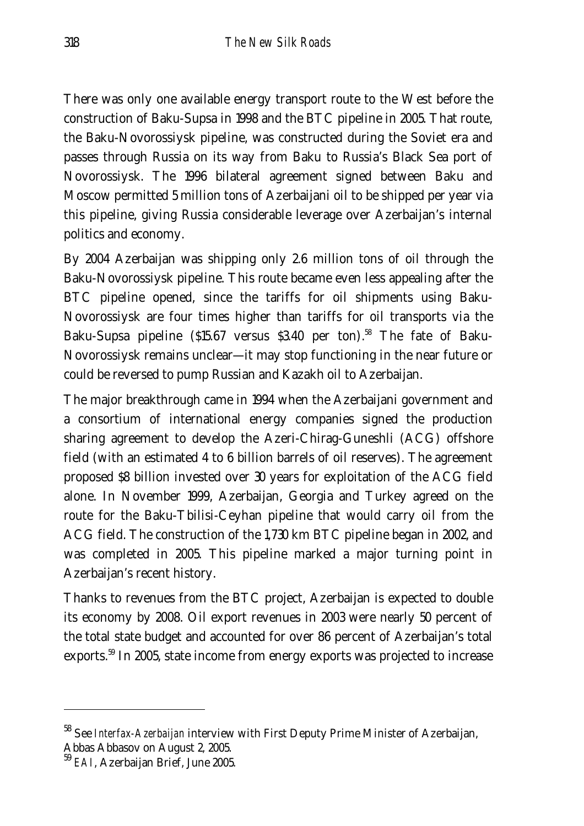There was only one available energy transport route to the West before the construction of Baku-Supsa in 1998 and the BTC pipeline in 2005. That route, the Baku-Novorossiysk pipeline, was constructed during the Soviet era and passes through Russia on its way from Baku to Russia's Black Sea port of Novorossiysk. The 1996 bilateral agreement signed between Baku and Moscow permitted 5 million tons of Azerbaijani oil to be shipped per year via this pipeline, giving Russia considerable leverage over Azerbaijan's internal politics and economy.

By 2004 Azerbaijan was shipping only 2.6 million tons of oil through the Baku-Novorossiysk pipeline. This route became even less appealing after the BTC pipeline opened, since the tariffs for oil shipments using Baku-Novorossiysk are four times higher than tariffs for oil transports via the Baku-Supsa pipeline (\$15.67 versus \$3.40 per ton).<sup>58</sup> The fate of Baku-Novorossiysk remains unclear—it may stop functioning in the near future or could be reversed to pump Russian and Kazakh oil to Azerbaijan.

The major breakthrough came in 1994 when the Azerbaijani government and a consortium of international energy companies signed the production sharing agreement to develop the Azeri-Chirag-Guneshli (ACG) offshore field (with an estimated 4 to 6 billion barrels of oil reserves). The agreement proposed \$8 billion invested over 30 years for exploitation of the ACG field alone. In November 1999, Azerbaijan, Georgia and Turkey agreed on the route for the Baku-Tbilisi-Ceyhan pipeline that would carry oil from the ACG field. The construction of the 1,730 km BTC pipeline began in 2002, and was completed in 2005. This pipeline marked a major turning point in Azerbaijan's recent history.

Thanks to revenues from the BTC project, Azerbaijan is expected to double its economy by 2008. Oil export revenues in 2003 were nearly 50 percent of the total state budget and accounted for over 86 percent of Azerbaijan's total exports.<sup>59</sup> In 2005, state income from energy exports was projected to increase

<sup>58</sup> See *Interfax-Azerbaijan* interview with First Deputy Prime Minister of Azerbaijan, Abbas Abbasov on August 2, 2005.

<sup>59</sup> *EAI*, Azerbaijan Brief, June 2005.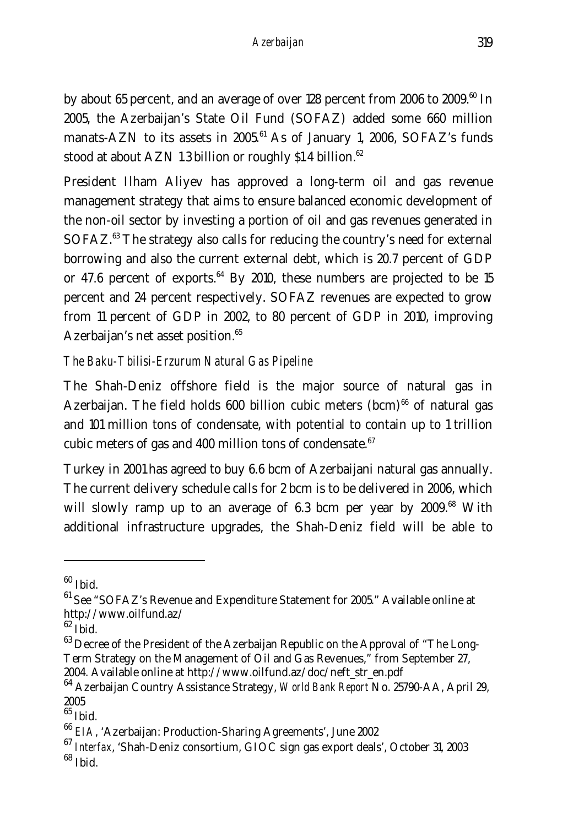by about 65 percent, and an average of over 128 percent from 2006 to 2009.<sup>60</sup> In 2005, the Azerbaijan's State Oil Fund (SOFAZ) added some 660 million manats-AZN to its assets in 2005.<sup>61</sup> As of January 1, 2006, SOFAZ's funds stood at about AZN 1.3 billion or roughly \$1.4 billion.<sup>62</sup>

President Ilham Aliyev has approved a long-term oil and gas revenue management strategy that aims to ensure balanced economic development of the non-oil sector by investing a portion of oil and gas revenues generated in SOFAZ.63 The strategy also calls for reducing the country's need for external borrowing and also the current external debt, which is 20.7 percent of GDP or 47.6 percent of exports. $64$  By 2010, these numbers are projected to be 15 percent and 24 percent respectively. SOFAZ revenues are expected to grow from 11 percent of GDP in 2002, to 80 percent of GDP in 2010, improving Azerbaijan's net asset position.<sup>65</sup>

### *The Baku-Tbilisi-Erzurum Natural Gas Pipeline*

The Shah-Deniz offshore field is the major source of natural gas in Azerbaijan. The field holds  $600$  billion cubic meters  $(bcm)^{66}$  of natural gas and 101 million tons of condensate, with potential to contain up to 1 trillion cubic meters of gas and 400 million tons of condensate. $67$ 

Turkey in 2001 has agreed to buy 6.6 bcm of Azerbaijani natural gas annually. The current delivery schedule calls for 2 bcm is to be delivered in 2006, which will slowly ramp up to an average of 6.3 bcm per year by  $2009.^{68}$  With additional infrastructure upgrades, the Shah-Deniz field will be able to

 $60$  Ibid.

 $61$  See "SOFAZ's Revenue and Expenditure Statement for 2005." Available online at http://www.oilfund.az/

 $62$  Ibid.

<sup>63</sup> Decree of the President of the Azerbaijan Republic on the Approval of "The Long-Term Strategy on the Management of Oil and Gas Revenues," from September 27, 2004. Available online at http://www.oilfund.az/doc/neft\_str\_en.pdf

<sup>64</sup> Azerbaijan Country Assistance Strategy, *World Bank Report* No. 25790-AA, April 29, 2005

 $\rm ^{65}$  Ibid.

<sup>66</sup> *EIA*, 'Azerbaijan: Production-Sharing Agreements', June 2002

<sup>67</sup> *Interfax*, 'Shah-Deniz consortium, GIOC sign gas export deals', October 31, 2003 68 Ibid.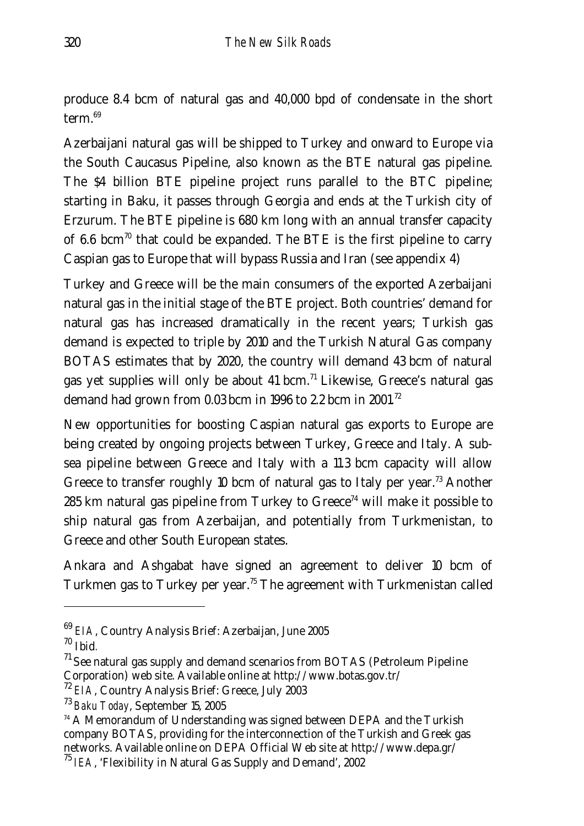produce 8.4 bcm of natural gas and 40,000 bpd of condensate in the short term.69

Azerbaijani natural gas will be shipped to Turkey and onward to Europe via the South Caucasus Pipeline, also known as the BTE natural gas pipeline. The \$4 billion BTE pipeline project runs parallel to the BTC pipeline; starting in Baku, it passes through Georgia and ends at the Turkish city of Erzurum. The BTE pipeline is 680 km long with an annual transfer capacity of 6.6 bcm<sup>70</sup> that could be expanded. The BTE is the first pipeline to carry Caspian gas to Europe that will bypass Russia and Iran (see appendix 4)

Turkey and Greece will be the main consumers of the exported Azerbaijani natural gas in the initial stage of the BTE project. Both countries' demand for natural gas has increased dramatically in the recent years; Turkish gas demand is expected to triple by 2010 and the Turkish Natural Gas company BOTAS estimates that by 2020, the country will demand 43 bcm of natural gas yet supplies will only be about 41 bcm.<sup>71</sup> Likewise, Greece's natural gas demand had grown from 0.03 bcm in 1996 to 2.2 bcm in 2001.<sup>72</sup>

New opportunities for boosting Caspian natural gas exports to Europe are being created by ongoing projects between Turkey, Greece and Italy. A subsea pipeline between Greece and Italy with a 11.3 bcm capacity will allow Greece to transfer roughly 10 bcm of natural gas to Italy per year.<sup>73</sup> Another  $285$  km natural gas pipeline from Turkey to Greece<sup>74</sup> will make it possible to ship natural gas from Azerbaijan, and potentially from Turkmenistan, to Greece and other South European states.

Ankara and Ashgabat have signed an agreement to deliver 10 bcm of Turkmen gas to Turkey per year.<sup>75</sup> The agreement with Turkmenistan called

<sup>69</sup> *EIA*, Country Analysis Brief: Azerbaijan, June 2005

<sup>&</sup>lt;sup>71</sup> See natural gas supply and demand scenarios from BOTAS (Petroleum Pipeline Corporation) web site. Available online at http://www.botas.gov.tr/

<sup>&</sup>lt;sup>72</sup> EIA, Country Analysis Brief: Greece, July 2003

<sup>73</sup> *Baku Today*, September 15, 2005

<sup>&</sup>lt;sup>74</sup> A Memorandum of Understanding was signed between DEPA and the Turkish company BOTAS, providing for the interconnection of the Turkish and Greek gas networks. Available online on DEPA Official Web site at http://www.depa.gr/ 75 *IEA*, 'Flexibility in Natural Gas Supply and Demand', 2002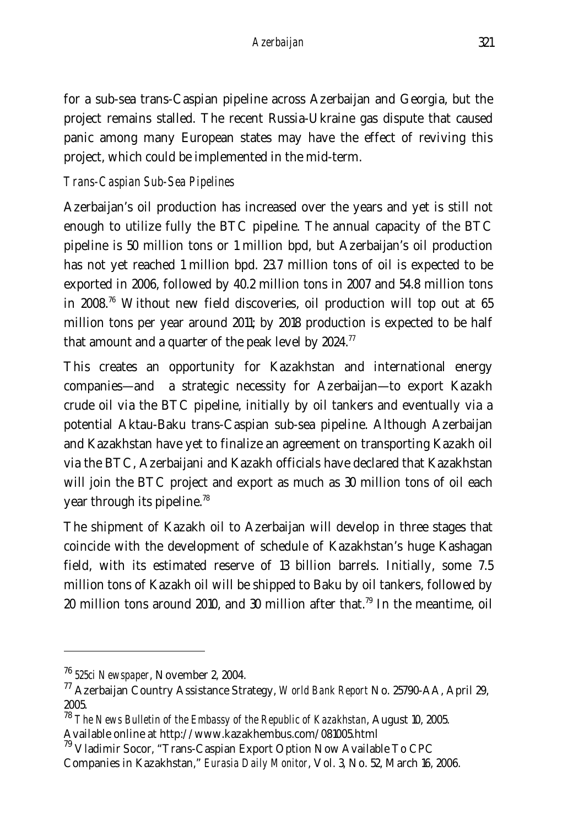for a sub-sea trans-Caspian pipeline across Azerbaijan and Georgia, but the project remains stalled. The recent Russia-Ukraine gas dispute that caused panic among many European states may have the effect of reviving this project, which could be implemented in the mid-term.

#### *Trans-Caspian Sub-Sea Pipelines*

Azerbaijan's oil production has increased over the years and yet is still not enough to utilize fully the BTC pipeline. The annual capacity of the BTC pipeline is 50 million tons or 1 million bpd, but Azerbaijan's oil production has not yet reached 1 million bpd. 23.7 million tons of oil is expected to be exported in 2006, followed by 40.2 million tons in 2007 and 54.8 million tons in 2008.76 Without new field discoveries, oil production will top out at 65 million tons per year around 2011; by 2018 production is expected to be half that amount and a quarter of the peak level by 2024.<sup>77</sup>

This creates an opportunity for Kazakhstan and international energy companies—and a strategic necessity for Azerbaijan—to export Kazakh crude oil via the BTC pipeline, initially by oil tankers and eventually via a potential Aktau-Baku trans-Caspian sub-sea pipeline. Although Azerbaijan and Kazakhstan have yet to finalize an agreement on transporting Kazakh oil via the BTC, Azerbaijani and Kazakh officials have declared that Kazakhstan will join the BTC project and export as much as 30 million tons of oil each year through its pipeline.<sup>78</sup>

The shipment of Kazakh oil to Azerbaijan will develop in three stages that coincide with the development of schedule of Kazakhstan's huge Kashagan field, with its estimated reserve of 13 billion barrels. Initially, some 7.5 million tons of Kazakh oil will be shipped to Baku by oil tankers, followed by 20 million tons around 2010, and 30 million after that.<sup>79</sup> In the meantime, oil

<sup>76</sup> *525ci Newspaper*, November 2, 2004.

<sup>77</sup> Azerbaijan Country Assistance Strategy, *World Bank Report* No. 25790-AA, April 29, 2005.

<sup>78</sup> *The News Bulletin of the Embassy of the Republic of Kazakhstan*, August 10, 2005. Available online at http://www.kazakhembus.com/081005.html

 $^{79}$  Vladimir Socor, "Trans-Caspian Export Option Now Available To CPC Companies in Kazakhstan," *Eurasia Daily Monitor*, Vol. 3, No. 52, March 16, 2006.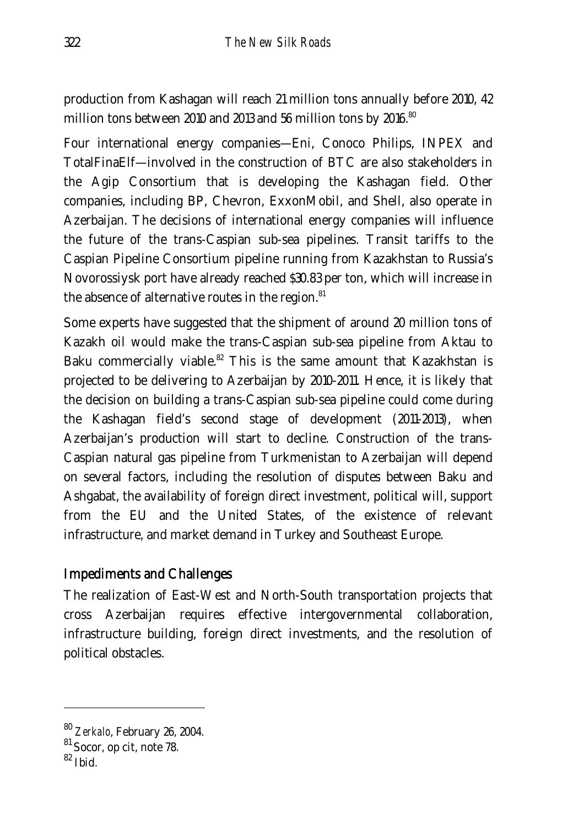production from Kashagan will reach 21 million tons annually before 2010, 42 million tons between 2010 and 2013 and 56 million tons by 2016.<sup>80</sup>

Four international energy companies—Eni, Conoco Philips, INPEX and TotalFinaElf—involved in the construction of BTC are also stakeholders in the Agip Consortium that is developing the Kashagan field. Other companies, including BP, Chevron, ExxonMobil, and Shell, also operate in Azerbaijan. The decisions of international energy companies will influence the future of the trans-Caspian sub-sea pipelines. Transit tariffs to the Caspian Pipeline Consortium pipeline running from Kazakhstan to Russia's Novorossiysk port have already reached \$30.83 per ton, which will increase in the absence of alternative routes in the region.<sup>81</sup>

Some experts have suggested that the shipment of around 20 million tons of Kazakh oil would make the trans-Caspian sub-sea pipeline from Aktau to Baku commercially viable.<sup>82</sup> This is the same amount that Kazakhstan is projected to be delivering to Azerbaijan by 2010-2011. Hence, it is likely that the decision on building a trans-Caspian sub-sea pipeline could come during the Kashagan field's second stage of development (2011-2013), when Azerbaijan's production will start to decline. Construction of the trans-Caspian natural gas pipeline from Turkmenistan to Azerbaijan will depend on several factors, including the resolution of disputes between Baku and Ashgabat, the availability of foreign direct investment, political will, support from the EU and the United States, of the existence of relevant infrastructure, and market demand in Turkey and Southeast Europe.

#### Impediments and Challenges

The realization of East-West and North-South transportation projects that cross Azerbaijan requires effective intergovernmental collaboration, infrastructure building, foreign direct investments, and the resolution of political obstacles.

<sup>80</sup> *Zerkalo*, February 26, 2004.

<sup>81</sup> Socor, op cit, note 78.

<sup>82</sup> Ibid.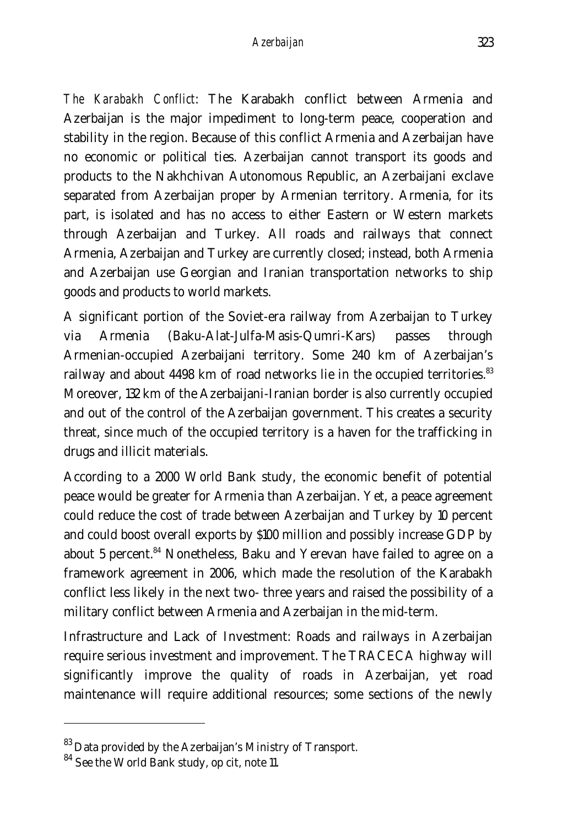#### *Azerbaijan* 323

*The Karabakh Conflict*: The Karabakh conflict between Armenia and Azerbaijan is the major impediment to long-term peace, cooperation and stability in the region. Because of this conflict Armenia and Azerbaijan have no economic or political ties. Azerbaijan cannot transport its goods and products to the Nakhchivan Autonomous Republic, an Azerbaijani exclave separated from Azerbaijan proper by Armenian territory. Armenia, for its part, is isolated and has no access to either Eastern or Western markets through Azerbaijan and Turkey. All roads and railways that connect Armenia, Azerbaijan and Turkey are currently closed; instead, both Armenia and Azerbaijan use Georgian and Iranian transportation networks to ship goods and products to world markets.

A significant portion of the Soviet-era railway from Azerbaijan to Turkey via Armenia (Baku-Alat-Julfa-Masis-Qumri-Kars) passes through Armenian-occupied Azerbaijani territory. Some 240 km of Azerbaijan's railway and about 4498 km of road networks lie in the occupied territories.<sup>83</sup> Moreover, 132 km of the Azerbaijani-Iranian border is also currently occupied and out of the control of the Azerbaijan government. This creates a security threat, since much of the occupied territory is a haven for the trafficking in drugs and illicit materials.

According to a 2000 World Bank study, the economic benefit of potential peace would be greater for Armenia than Azerbaijan. Yet, a peace agreement could reduce the cost of trade between Azerbaijan and Turkey by 10 percent and could boost overall exports by \$100 million and possibly increase GDP by about 5 percent.<sup>84</sup> Nonetheless, Baku and Yerevan have failed to agree on a framework agreement in 2006, which made the resolution of the Karabakh conflict less likely in the next two- three years and raised the possibility of a military conflict between Armenia and Azerbaijan in the mid-term.

Infrastructure and Lack of Investment:Roads and railways in Azerbaijan require serious investment and improvement. The TRACECA highway will significantly improve the quality of roads in Azerbaijan, yet road maintenance will require additional resources; some sections of the newly

<sup>&</sup>lt;sup>83</sup> Data provided by the Azerbaijan's Ministry of Transport.

<sup>84</sup> See the World Bank study, op cit, note 11.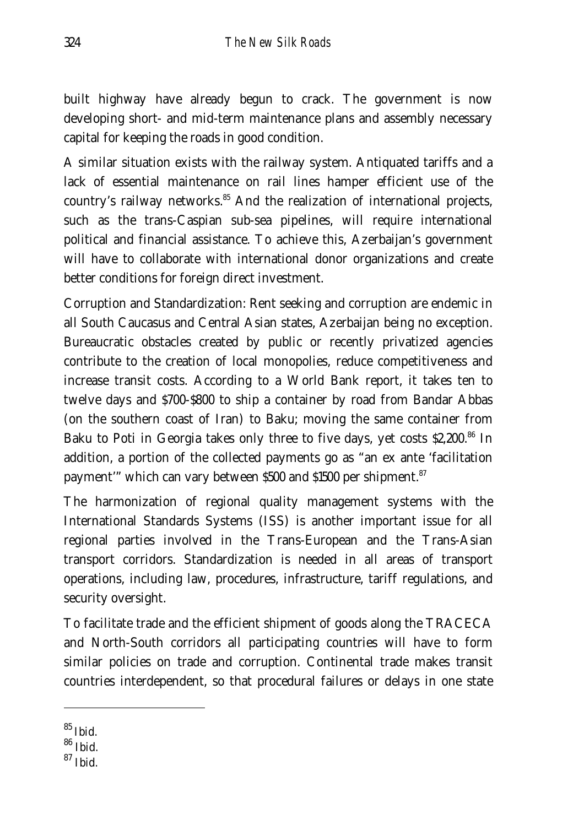built highway have already begun to crack. The government is now developing short- and mid-term maintenance plans and assembly necessary capital for keeping the roads in good condition.

A similar situation exists with the railway system. Antiquated tariffs and a lack of essential maintenance on rail lines hamper efficient use of the country's railway networks.<sup>85</sup> And the realization of international projects, such as the trans-Caspian sub-sea pipelines, will require international political and financial assistance. To achieve this, Azerbaijan's government will have to collaborate with international donor organizations and create better conditions for foreign direct investment.

Corruption and Standardization: Rent seeking and corruption are endemic in all South Caucasus and Central Asian states, Azerbaijan being no exception. Bureaucratic obstacles created by public or recently privatized agencies contribute to the creation of local monopolies, reduce competitiveness and increase transit costs. According to a World Bank report, it takes ten to twelve days and \$700-\$800 to ship a container by road from Bandar Abbas (on the southern coast of Iran) to Baku; moving the same container from Baku to Poti in Georgia takes only three to five days, yet costs \$2,200.<sup>86</sup> In addition, a portion of the collected payments go as "an ex ante 'facilitation payment'" which can vary between \$500 and \$1500 per shipment.<sup>87</sup>

The harmonization of regional quality management systems with the International Standards Systems (ISS) is another important issue for all regional parties involved in the Trans-European and the Trans-Asian transport corridors. Standardization is needed in all areas of transport operations, including law, procedures, infrastructure, tariff regulations, and security oversight.

To facilitate trade and the efficient shipment of goods along the TRACECA and North-South corridors all participating countries will have to form similar policies on trade and corruption. Continental trade makes transit countries interdependent, so that procedural failures or delays in one state

 $85$  Ibid.

 $86$  Ibid.

<sup>87</sup> Ibid.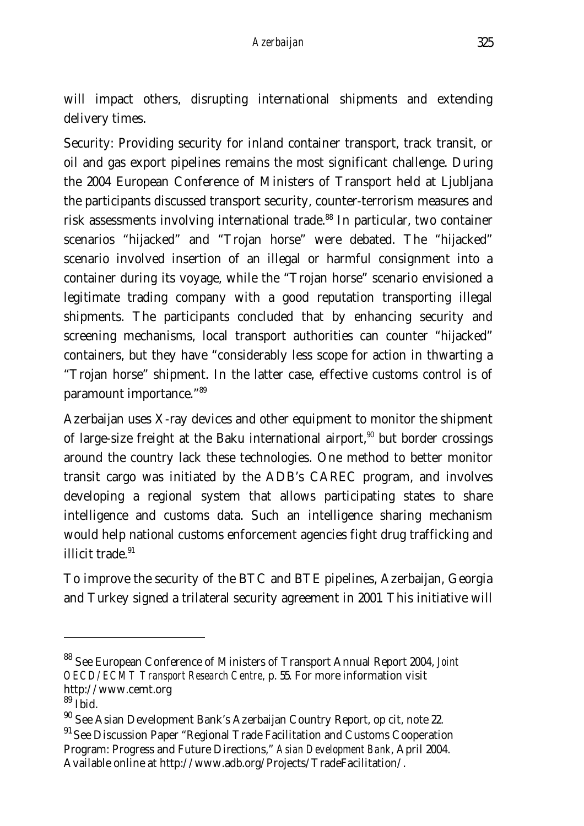will impact others, disrupting international shipments and extending delivery times.

Security: Providing security for inland container transport, track transit, or oil and gas export pipelines remains the most significant challenge. During the 2004 European Conference of Ministers of Transport held at Ljubljana the participants discussed transport security, counter-terrorism measures and risk assessments involving international trade.<sup>88</sup> In particular, two container scenarios "hijacked" and "Trojan horse" were debated. The "hijacked" scenario involved insertion of an illegal or harmful consignment into a container during its voyage, while the "Trojan horse" scenario envisioned a legitimate trading company with a good reputation transporting illegal shipments. The participants concluded that by enhancing security and screening mechanisms, local transport authorities can counter "hijacked" containers, but they have "considerably less scope for action in thwarting a "Trojan horse" shipment. In the latter case, effective customs control is of paramount importance."89

Azerbaijan uses X-ray devices and other equipment to monitor the shipment of large-size freight at the Baku international airport, $90$  but border crossings around the country lack these technologies. One method to better monitor transit cargo was initiated by the ADB's CAREC program, and involves developing a regional system that allows participating states to share intelligence and customs data. Such an intelligence sharing mechanism would help national customs enforcement agencies fight drug trafficking and illicit trade $91$ 

To improve the security of the BTC and BTE pipelines, Azerbaijan, Georgia and Turkey signed a trilateral security agreement in 2001. This initiative will

<sup>88</sup> See European Conference of Ministers of Transport Annual Report 2004, *Joint OECD/ECMT Transport Research Centre*, p. 55. For more information visit http://www.cemt.org

 $89$  Ibid.

<sup>90</sup> See Asian Development Bank's Azerbaijan Country Report, op cit, note 22.

<sup>&</sup>lt;sup>91</sup> See Discussion Paper "Regional Trade Facilitation and Customs Cooperation Program: Progress and Future Directions," *Asian Development Bank*, April 2004. Available online at http://www.adb.org/Projects/TradeFacilitation/.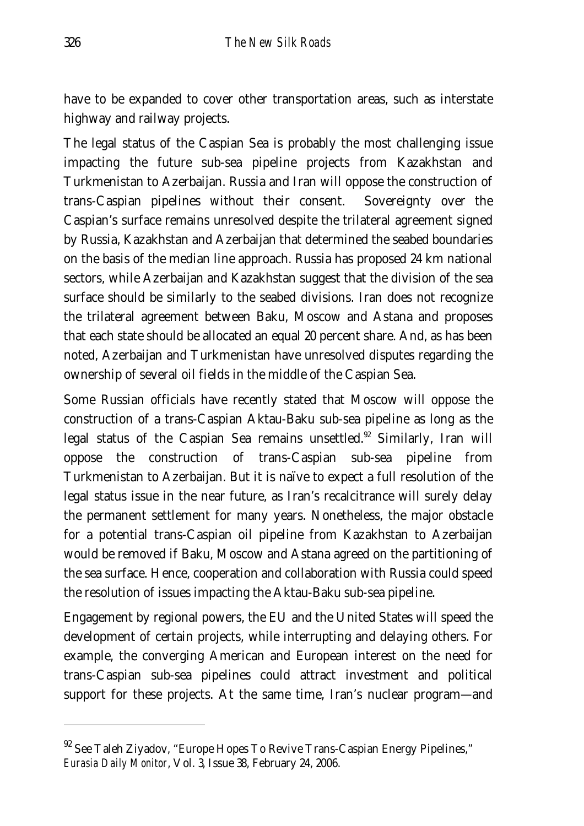have to be expanded to cover other transportation areas, such as interstate highway and railway projects.

The legal status of the Caspian Sea is probably the most challenging issue impacting the future sub-sea pipeline projects from Kazakhstan and Turkmenistan to Azerbaijan. Russia and Iran will oppose the construction of trans-Caspian pipelines without their consent. Sovereignty over the Caspian's surface remains unresolved despite the trilateral agreement signed by Russia, Kazakhstan and Azerbaijan that determined the seabed boundaries on the basis of the median line approach. Russia has proposed 24 km national sectors, while Azerbaijan and Kazakhstan suggest that the division of the sea surface should be similarly to the seabed divisions. Iran does not recognize the trilateral agreement between Baku, Moscow and Astana and proposes that each state should be allocated an equal 20 percent share. And, as has been noted, Azerbaijan and Turkmenistan have unresolved disputes regarding the ownership of several oil fields in the middle of the Caspian Sea.

Some Russian officials have recently stated that Moscow will oppose the construction of a trans-Caspian Aktau-Baku sub-sea pipeline as long as the legal status of the Caspian Sea remains unsettled.<sup>92</sup> Similarly, Iran will oppose the construction of trans-Caspian sub-sea pipeline from Turkmenistan to Azerbaijan. But it is naïve to expect a full resolution of the legal status issue in the near future, as Iran's recalcitrance will surely delay the permanent settlement for many years. Nonetheless, the major obstacle for a potential trans-Caspian oil pipeline from Kazakhstan to Azerbaijan would be removed if Baku, Moscow and Astana agreed on the partitioning of the sea surface. Hence, cooperation and collaboration with Russia could speed the resolution of issues impacting the Aktau-Baku sub-sea pipeline.

Engagement by regional powers, the EU and the United States will speed the development of certain projects, while interrupting and delaying others. For example, the converging American and European interest on the need for trans-Caspian sub-sea pipelines could attract investment and political support for these projects. At the same time, Iran's nuclear program—and

 $92$  See Taleh Ziyadov, "Europe Hopes To Revive Trans-Caspian Energy Pipelines," *Eurasia Daily Monitor*, Vol. 3, Issue 38, February 24, 2006.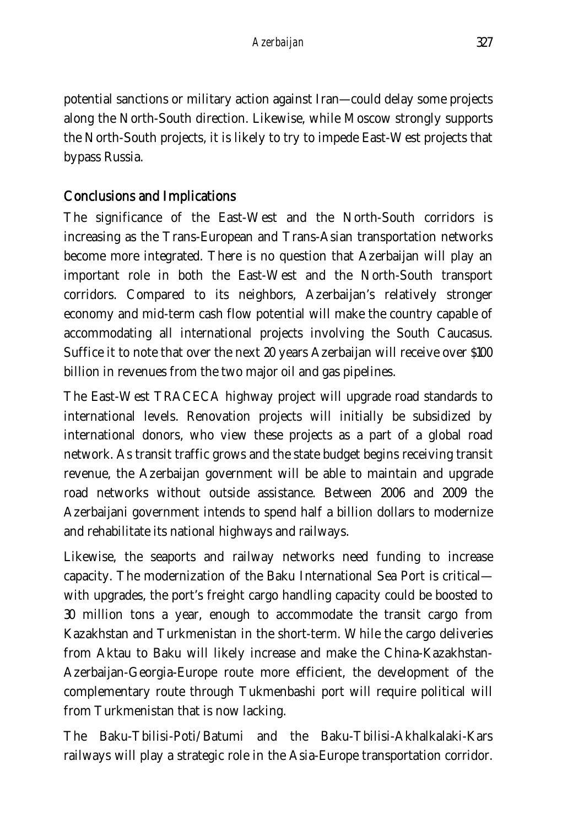potential sanctions or military action against Iran—could delay some projects along the North-South direction. Likewise, while Moscow strongly supports the North-South projects, it is likely to try to impede East-West projects that bypass Russia.

### Conclusions and Implications

The significance of the East-West and the North-South corridors is increasing as the Trans-European and Trans-Asian transportation networks become more integrated. There is no question that Azerbaijan will play an important role in both the East-West and the North-South transport corridors. Compared to its neighbors, Azerbaijan's relatively stronger economy and mid-term cash flow potential will make the country capable of accommodating all international projects involving the South Caucasus. Suffice it to note that over the next 20 years Azerbaijan will receive over \$100 billion in revenues from the two major oil and gas pipelines.

The East-West TRACECA highway project will upgrade road standards to international levels. Renovation projects will initially be subsidized by international donors, who view these projects as a part of a global road network. As transit traffic grows and the state budget begins receiving transit revenue, the Azerbaijan government will be able to maintain and upgrade road networks without outside assistance. Between 2006 and 2009 the Azerbaijani government intends to spend half a billion dollars to modernize and rehabilitate its national highways and railways.

Likewise, the seaports and railway networks need funding to increase capacity. The modernization of the Baku International Sea Port is critical with upgrades, the port's freight cargo handling capacity could be boosted to 30 million tons a year, enough to accommodate the transit cargo from Kazakhstan and Turkmenistan in the short-term. While the cargo deliveries from Aktau to Baku will likely increase and make the China-Kazakhstan-Azerbaijan-Georgia-Europe route more efficient, the development of the complementary route through Tukmenbashi port will require political will from Turkmenistan that is now lacking.

The Baku-Tbilisi-Poti/Batumi and the Baku-Tbilisi-Akhalkalaki-Kars railways will play a strategic role in the Asia-Europe transportation corridor.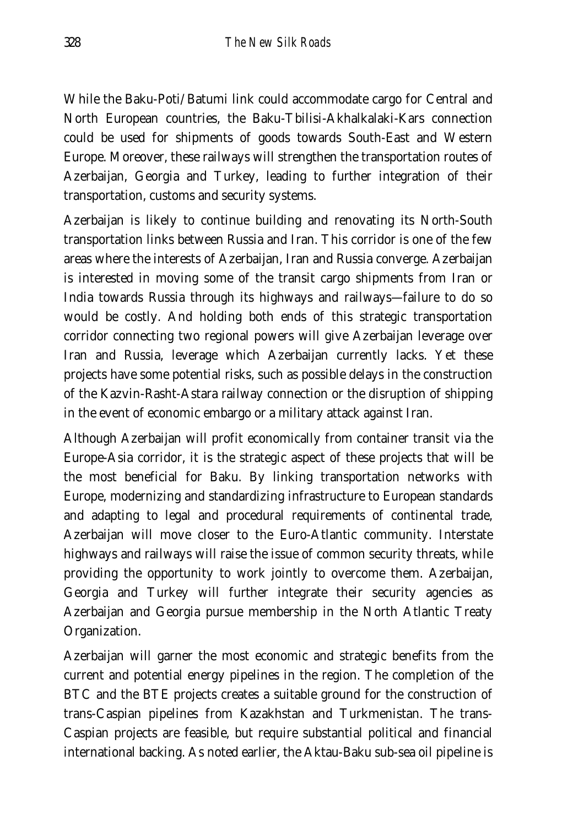While the Baku-Poti/Batumi link could accommodate cargo for Central and North European countries, the Baku-Tbilisi-Akhalkalaki-Kars connection could be used for shipments of goods towards South-East and Western Europe. Moreover, these railways will strengthen the transportation routes of Azerbaijan, Georgia and Turkey, leading to further integration of their transportation, customs and security systems.

Azerbaijan is likely to continue building and renovating its North-South transportation links between Russia and Iran. This corridor is one of the few areas where the interests of Azerbaijan, Iran and Russia converge. Azerbaijan is interested in moving some of the transit cargo shipments from Iran or India towards Russia through its highways and railways—failure to do so would be costly. And holding both ends of this strategic transportation corridor connecting two regional powers will give Azerbaijan leverage over Iran and Russia, leverage which Azerbaijan currently lacks. Yet these projects have some potential risks, such as possible delays in the construction of the Kazvin-Rasht-Astara railway connection or the disruption of shipping in the event of economic embargo or a military attack against Iran.

Although Azerbaijan will profit economically from container transit via the Europe-Asia corridor, it is the strategic aspect of these projects that will be the most beneficial for Baku. By linking transportation networks with Europe, modernizing and standardizing infrastructure to European standards and adapting to legal and procedural requirements of continental trade, Azerbaijan will move closer to the Euro-Atlantic community. Interstate highways and railways will raise the issue of common security threats, while providing the opportunity to work jointly to overcome them. Azerbaijan, Georgia and Turkey will further integrate their security agencies as Azerbaijan and Georgia pursue membership in the North Atlantic Treaty Organization.

Azerbaijan will garner the most economic and strategic benefits from the current and potential energy pipelines in the region. The completion of the BTC and the BTE projects creates a suitable ground for the construction of trans-Caspian pipelines from Kazakhstan and Turkmenistan. The trans-Caspian projects are feasible, but require substantial political and financial international backing. As noted earlier, the Aktau-Baku sub-sea oil pipeline is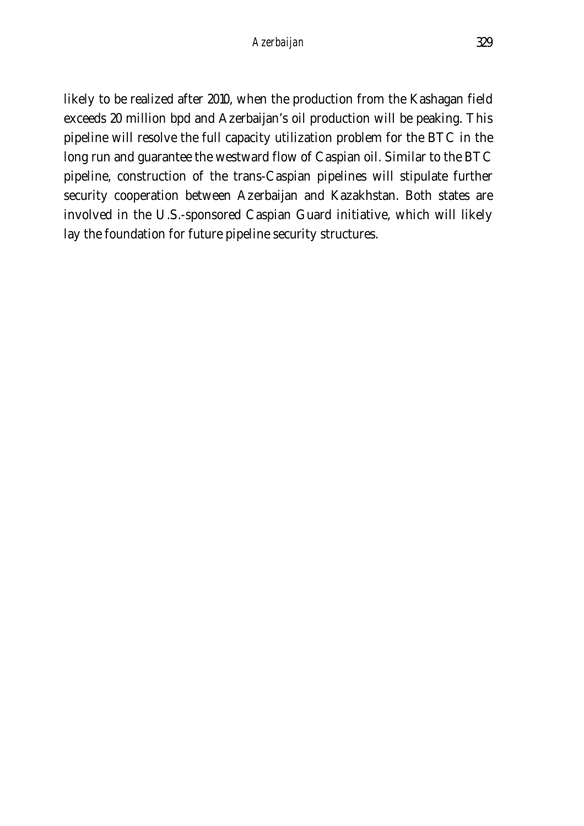likely to be realized after 2010, when the production from the Kashagan field exceeds 20 million bpd and Azerbaijan's oil production will be peaking. This pipeline will resolve the full capacity utilization problem for the BTC in the long run and guarantee the westward flow of Caspian oil. Similar to the BTC pipeline, construction of the trans-Caspian pipelines will stipulate further security cooperation between Azerbaijan and Kazakhstan. Both states are involved in the U.S.-sponsored Caspian Guard initiative, which will likely lay the foundation for future pipeline security structures.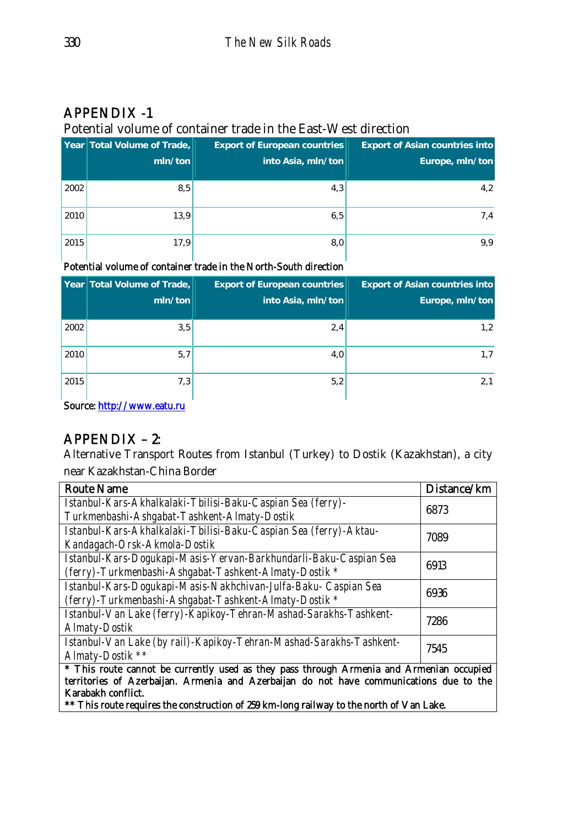### APPENDIX -1

#### Potential volume of container trade in the East-West direction

|      | Year   Total Volume of Trade,<br>mln/ton | <b>Export of European countries</b><br>into Asia, mln/ton | <b>Export of Asian countries into</b><br>Europe, mln/ton |
|------|------------------------------------------|-----------------------------------------------------------|----------------------------------------------------------|
| 2002 | 8,5                                      | 4,3                                                       | 4,2                                                      |
| 2010 | 13,9                                     | 6,5                                                       | 7,4                                                      |
| 2015 | 17,9                                     | 8,0                                                       | 9,9                                                      |

# Potential volume of container trade in the North-South direction

|      | Year   Total Volume of Trade,  <br>mln/ton | <b>Export of European countries</b><br>into Asia, mln/ton | <b>Export of Asian countries into</b><br>Europe, min/ton |
|------|--------------------------------------------|-----------------------------------------------------------|----------------------------------------------------------|
| 2002 | 3,5                                        | 2,4                                                       | 1,2                                                      |
| 2010 | 5,7                                        | 4,0                                                       | 1,7                                                      |
| 2015 | 7,3                                        | 5,2                                                       | 2,1                                                      |

Source: http://www.eatu.ru

#### APPENDIX – 2:

Alternative Transport Routes from Istanbul (Turkey) to Dostik (Kazakhstan), a city near Kazakhstan-China Border

| <b>Route Name</b>                                                                        | Distance/km |  |  |
|------------------------------------------------------------------------------------------|-------------|--|--|
| Istanbul-Kars-Akhalkalaki-Tbilisi-Baku-Caspian Sea (ferry)-                              | 6873        |  |  |
| Turkmenbashi-Ashgabat-Tashkent-Almaty-Dostik                                             |             |  |  |
| Istanbul-Kars-Akhalkalaki-Tbilisi-Baku-Caspian Sea (ferry)-Aktau-                        | 7089        |  |  |
| Kandagach-Orsk-Akmola-Dostik                                                             |             |  |  |
| Istanbul-Kars-Dogukapi-Masis-Yervan-Barkhundarli-Baku-Caspian Sea                        | 6913        |  |  |
| (ferry)-Turkmenbashi-Ashgabat-Tashkent-Almaty-Dostik *                                   |             |  |  |
| Istanbul-Kars-Dogukapi-Masis-Nakhchivan-Julfa-Baku- Caspian Sea                          | 6936        |  |  |
| (ferry)-Turkmenbashi-Ashgabat-Tashkent-Almaty-Dostik *                                   |             |  |  |
| Istanbul-Van Lake (ferry)-Kapikoy-Tehran-Mashad-Sarakhs-Tashkent-                        | 7286        |  |  |
| <b>Almaty-Dostik</b>                                                                     |             |  |  |
| Istanbul-Van Lake (by rail)-Kapikoy-Tehran-Mashad-Sarakhs-Tashkent-                      | 7545        |  |  |
| Almaty-Dostik **                                                                         |             |  |  |
| * This route cannot be currently used as they pass through Armenia and Armenian occupied |             |  |  |
| territories of Azerbaijan. Armenia and Azerbaijan do not have communications due to the  |             |  |  |
| Karabakh conflict.                                                                       |             |  |  |

\*\* This route requires the construction of 259 km-long railway to the north of Van Lake.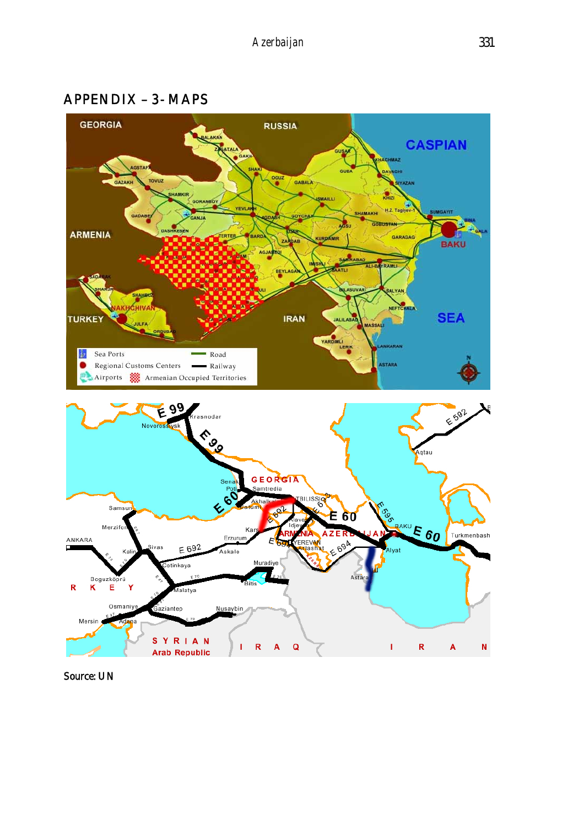#### APPENDIX – 3 - MAPS



Source: UN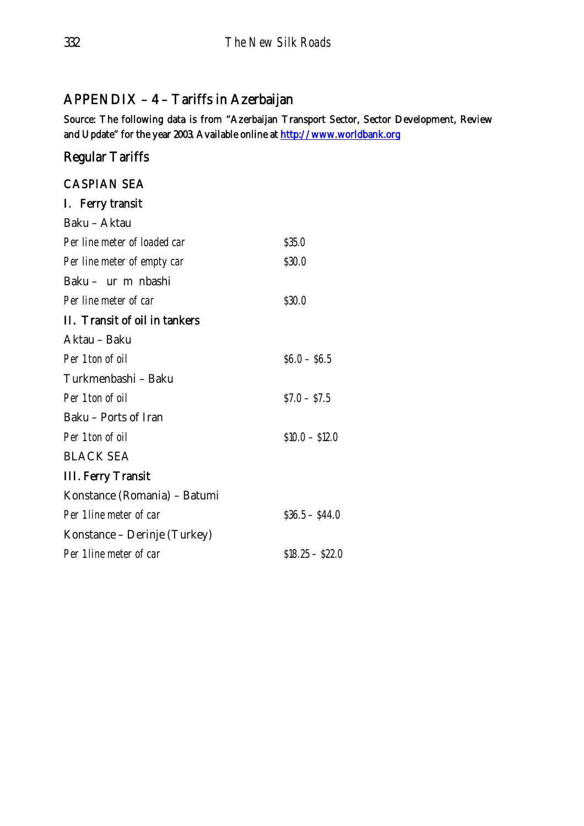#### APPENDIX – 4 – Tariffs in Azerbaijan

Source: The following data is from "Azerbaijan Transport Sector, Sector Development, Review and Update" for the year 2003. Available online at http://www.worldbank.org

#### Regular Tariffs

#### CASPIAN SEA

#### I. Ferry transit

| Baku - Aktau                  |                   |
|-------------------------------|-------------------|
| Per line meter of loaded car  | <i>S35.0</i>      |
| Per line meter of empty car   | \$30.0            |
| Baku – ur m nbashi            |                   |
| Per line meter of car         | <i>S30.0</i>      |
| II. Transit of oil in tankers |                   |
| Aktau – Baku                  |                   |
| Per 1 ton of oil              | $$6.0 - $6.5$$    |
| Turkmenbashi – Baku           |                   |
| Per 1 ton of oil              | $$7.0 - $7.5$$    |
| Baku – Ports of Iran          |                   |
| Per 1 ton of oil              | $$10.0 - $12.0$$  |
| <b>BLACK SEA</b>              |                   |
| <b>III. Ferry Transit</b>     |                   |
| Konstance (Romania) - Batumi  |                   |
| Per 1 line meter of car       | $$36.5 - $44.0$$  |
| Konstance – Derinje (Turkey)  |                   |
| Per 1 line meter of car       | $$18.25 - $22.0$$ |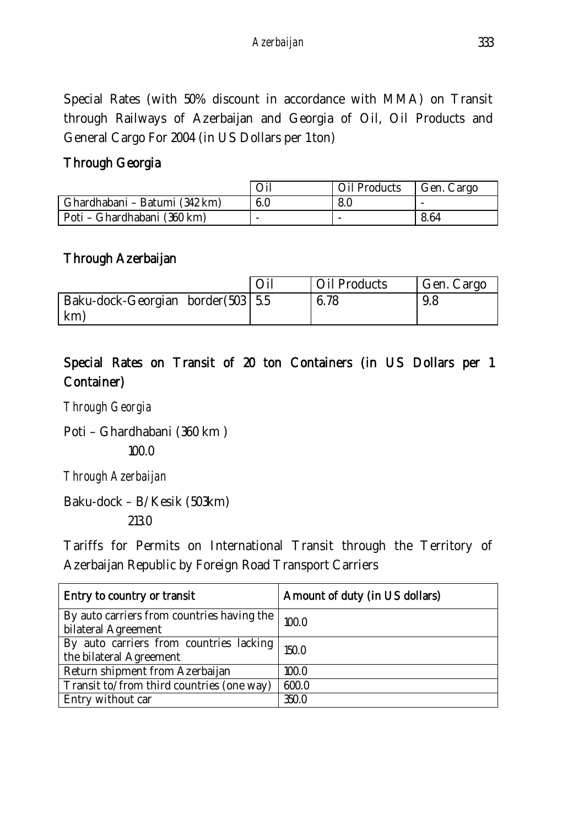Special Rates (with 50% discount in accordance with MMA) on Transit through Railways of Azerbaijan and Georgia of Oil, Oil Products and General Cargo For 2004 (in US Dollars per 1 ton)

#### Through Georgia

|                               | <b>Dil</b> | <b>Oil Products</b> | Gen. Cargo |
|-------------------------------|------------|---------------------|------------|
| Ghardhabani – Batumi (342 km) | 6.0        | 8.0                 |            |
| Poti – Ghardhabani (360 km)   |            |                     | 8.64       |

### Through Azerbaijan

|                                            | Oil | <b>Oil Products</b> | Gen. Cargo |
|--------------------------------------------|-----|---------------------|------------|
| Baku-dock-Georgian border(503   5.5<br>km) |     | 6.78                | 9.8        |

## Special Rates on Transit of 20 ton Containers (in US Dollars per 1 Container)

*Through Georgia* 

Poti – Ghardhabani (360 km ) 100.0

*Through Azerbaijan* 

Baku-dock – B/Kesik (503km) 213.0

Tariffs for Permits on International Transit through the Territory of Azerbaijan Republic by Foreign Road Transport Carriers

| Entry to country or transit                                        | Amount of duty (in US dollars) |
|--------------------------------------------------------------------|--------------------------------|
| By auto carriers from countries having the<br>bilateral Agreement  | 100.0                          |
| By auto carriers from countries lacking<br>the bilateral Agreement | 150.0                          |
| Return shipment from Azerbaijan                                    | 100.0                          |
| Transit to/from third countries (one way)                          | 600.0                          |
| Entry without car                                                  | 350.0                          |